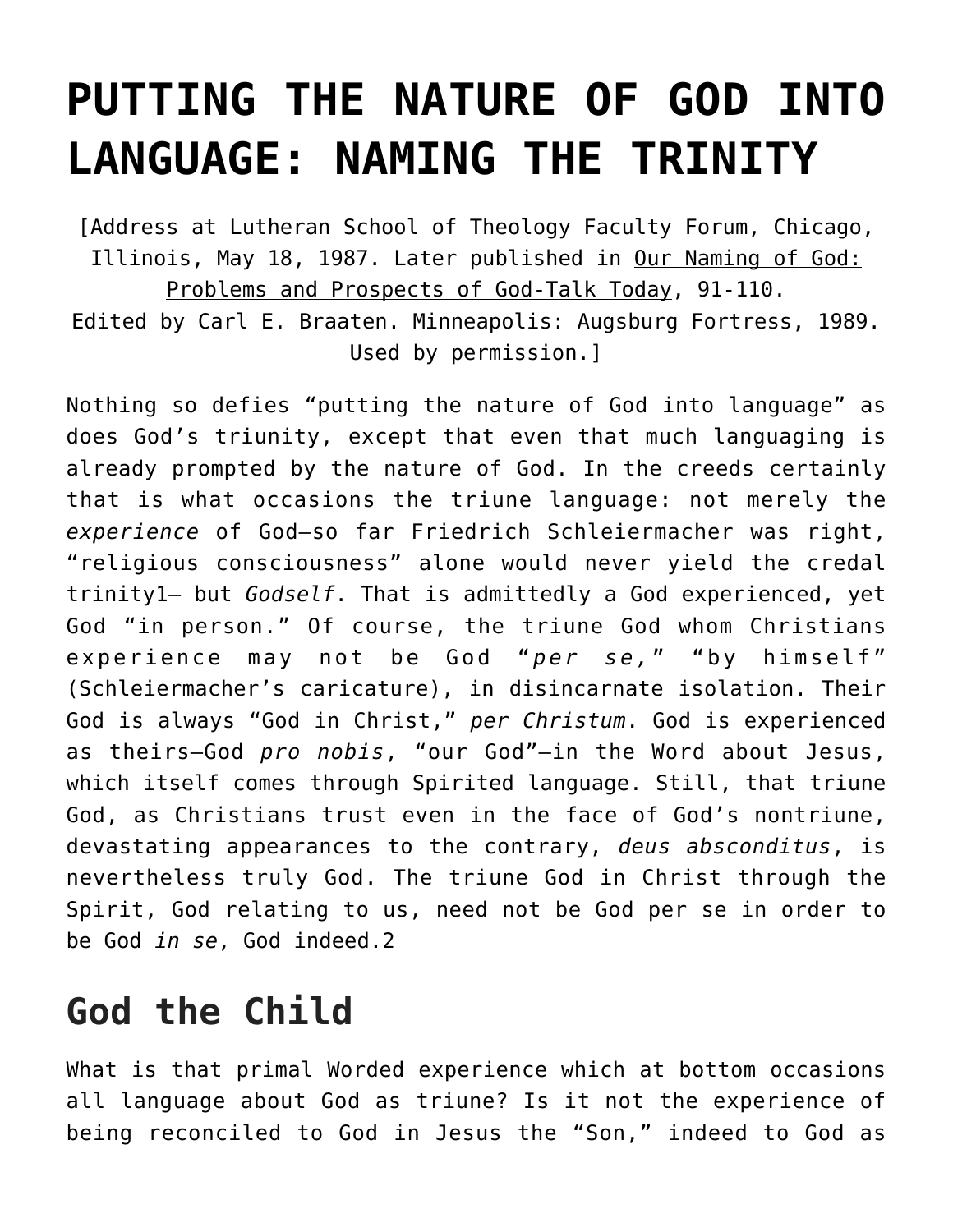# **[PUTTING THE NATURE OF GOD INTO](https://crossings.org/naming-the-trinity/) [LANGUAGE: NAMING THE TRINITY](https://crossings.org/naming-the-trinity/)**

[Address at Lutheran School of Theology Faculty Forum, Chicago, Illinois, May 18, 1987. Later published in Our Naming of God: Problems and Prospects of God-Talk Today, 91-110. Edited by Carl E. Braaten. Minneapolis: Augsburg Fortress, 1989. Used by permission.]

Nothing so defies "putting the nature of God into language" as does God's triunity, except that even that much languaging is already prompted by the nature of God. In the creeds certainly that is what occasions the triune language: not merely the *experience* of God—so far Friedrich Schleiermacher was right, "religious consciousness" alone would never yield the credal trinity1— but *Godself*. That is admittedly a God experienced, yet God "in person." Of course, the triune God whom Christians experience may not be God "per se," "by himself" (Schleiermacher's caricature), in disincarnate isolation. Their God is always "God in Christ," *per Christum*. God is experienced as theirs—God *pro nobis*, "our God"—in the Word about Jesus, which itself comes through Spirited language. Still, that triune God, as Christians trust even in the face of God's nontriune, devastating appearances to the contrary, *deus absconditus*, is nevertheless truly God. The triune God in Christ through the Spirit, God relating to us, need not be God per se in order to be God *in se*, God indeed.2

## **God the Child**

What is that primal Worded experience which at bottom occasions all language about God as triune? Is it not the experience of being reconciled to God in Jesus the "Son," indeed to God as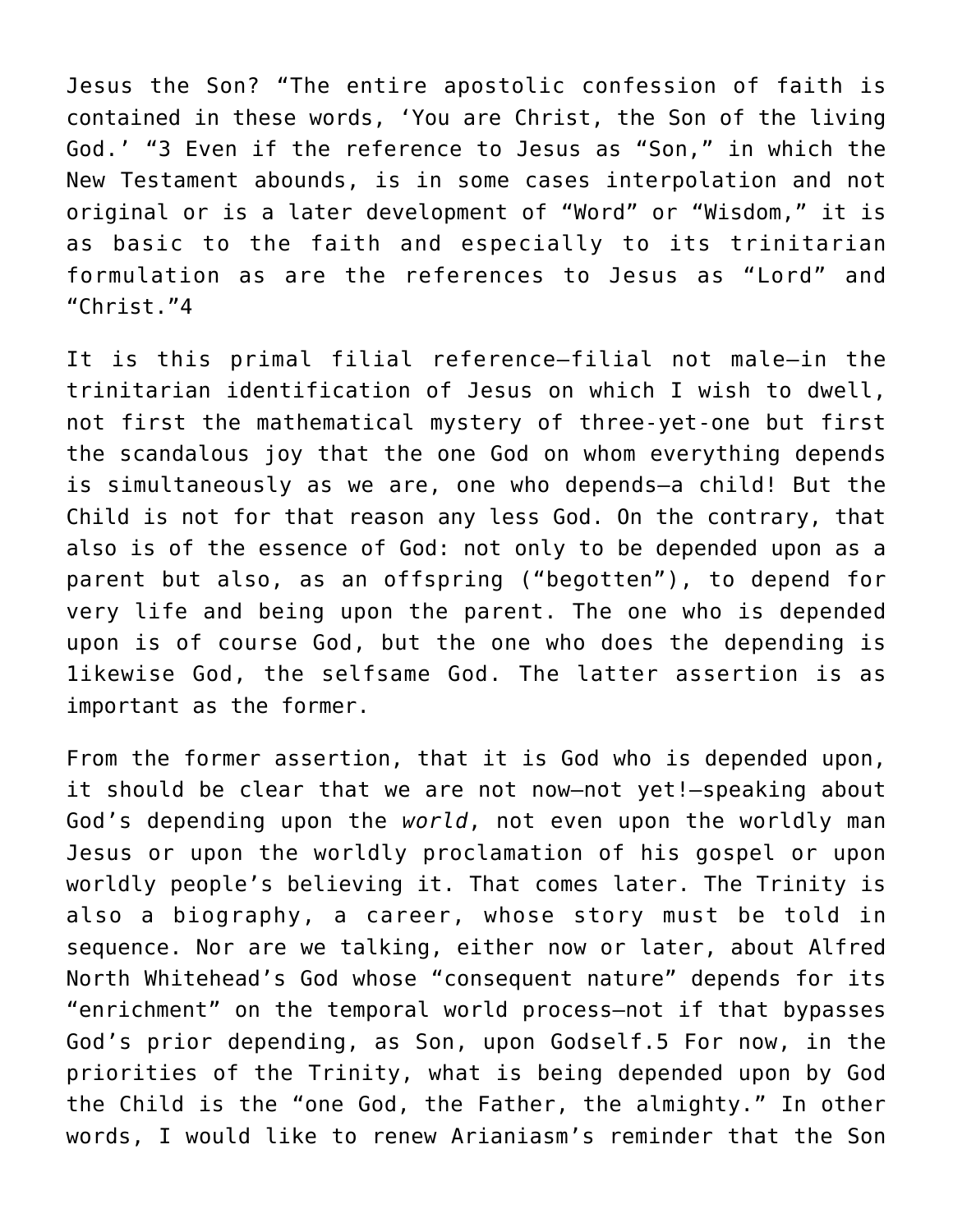Jesus the Son? "The entire apostolic confession of faith is contained in these words, 'You are Christ, the Son of the living God.' "3 Even if the reference to Jesus as "Son," in which the New Testament abounds, is in some cases interpolation and not original or is a later development of "Word" or "Wisdom," it is as basic to the faith and especially to its trinitarian formulation as are the references to Jesus as "Lord" and "Christ."4

It is this primal filial reference—filial not male—in the trinitarian identification of Jesus on which I wish to dwell, not first the mathematical mystery of three-yet-one but first the scandalous joy that the one God on whom everything depends is simultaneously as we are, one who depends—a child! But the Child is not for that reason any less God. On the contrary, that also is of the essence of God: not only to be depended upon as a parent but also, as an offspring ("begotten"), to depend for very life and being upon the parent. The one who is depended upon is of course God, but the one who does the depending is 1ikewise God, the selfsame God. The latter assertion is as important as the former.

From the former assertion, that it is God who is depended upon, it should be clear that we are not now—not yet!—speaking about God's depending upon the *world*, not even upon the worldly man Jesus or upon the worldly proclamation of his gospel or upon worldly people's believing it. That comes later. The Trinity is also a biography, a career, whose story must be told in sequence. Nor are we talking, either now or later, about Alfred North Whitehead's God whose "consequent nature" depends for its "enrichment" on the temporal world process—not if that bypasses God's prior depending, as Son, upon Godself.5 For now, in the priorities of the Trinity, what is being depended upon by God the Child is the "one God, the Father, the almighty." In other words, I would like to renew Arianiasm's reminder that the Son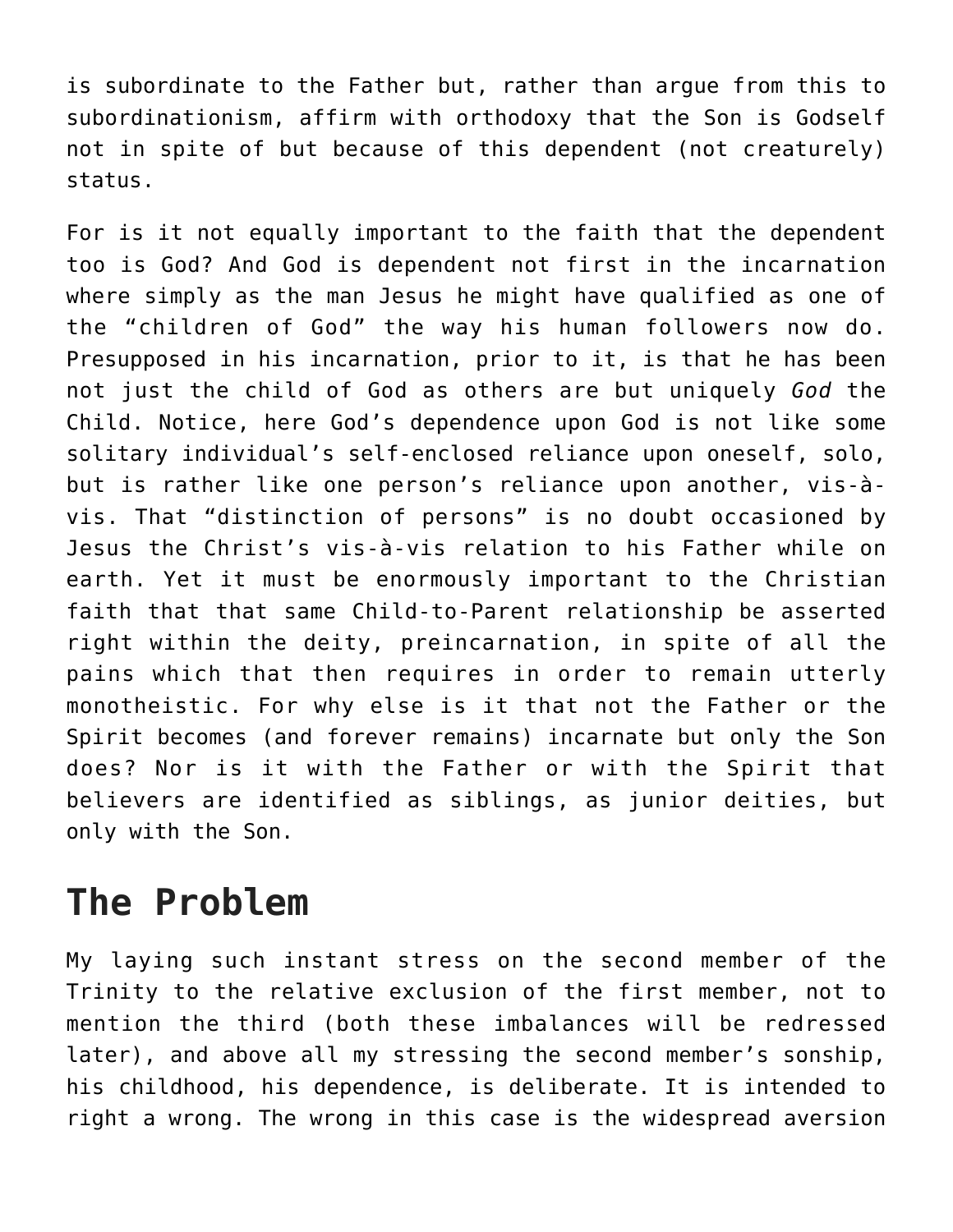is subordinate to the Father but, rather than argue from this to subordinationism, affirm with orthodoxy that the Son is Godself not in spite of but because of this dependent (not creaturely) status.

For is it not equally important to the faith that the dependent too is God? And God is dependent not first in the incarnation where simply as the man Jesus he might have qualified as one of the "children of God" the way his human followers now do. Presupposed in his incarnation, prior to it, is that he has been not just the child of God as others are but uniquely *God* the Child. Notice, here God's dependence upon God is not like some solitary individual's self-enclosed reliance upon oneself, solo, but is rather like one person's reliance upon another, vis-àvis. That "distinction of persons" is no doubt occasioned by Jesus the Christ's vis-à-vis relation to his Father while on earth. Yet it must be enormously important to the Christian faith that that same Child-to-Parent relationship be asserted right within the deity, preincarnation, in spite of all the pains which that then requires in order to remain utterly monotheistic. For why else is it that not the Father or the Spirit becomes (and forever remains) incarnate but only the Son does? Nor is it with the Father or with the Spirit that believers are identified as siblings, as junior deities, but only with the Son.

### **The Problem**

My laying such instant stress on the second member of the Trinity to the relative exclusion of the first member, not to mention the third (both these imbalances will be redressed later), and above all my stressing the second member's sonship, his childhood, his dependence, is deliberate. It is intended to right a wrong. The wrong in this case is the widespread aversion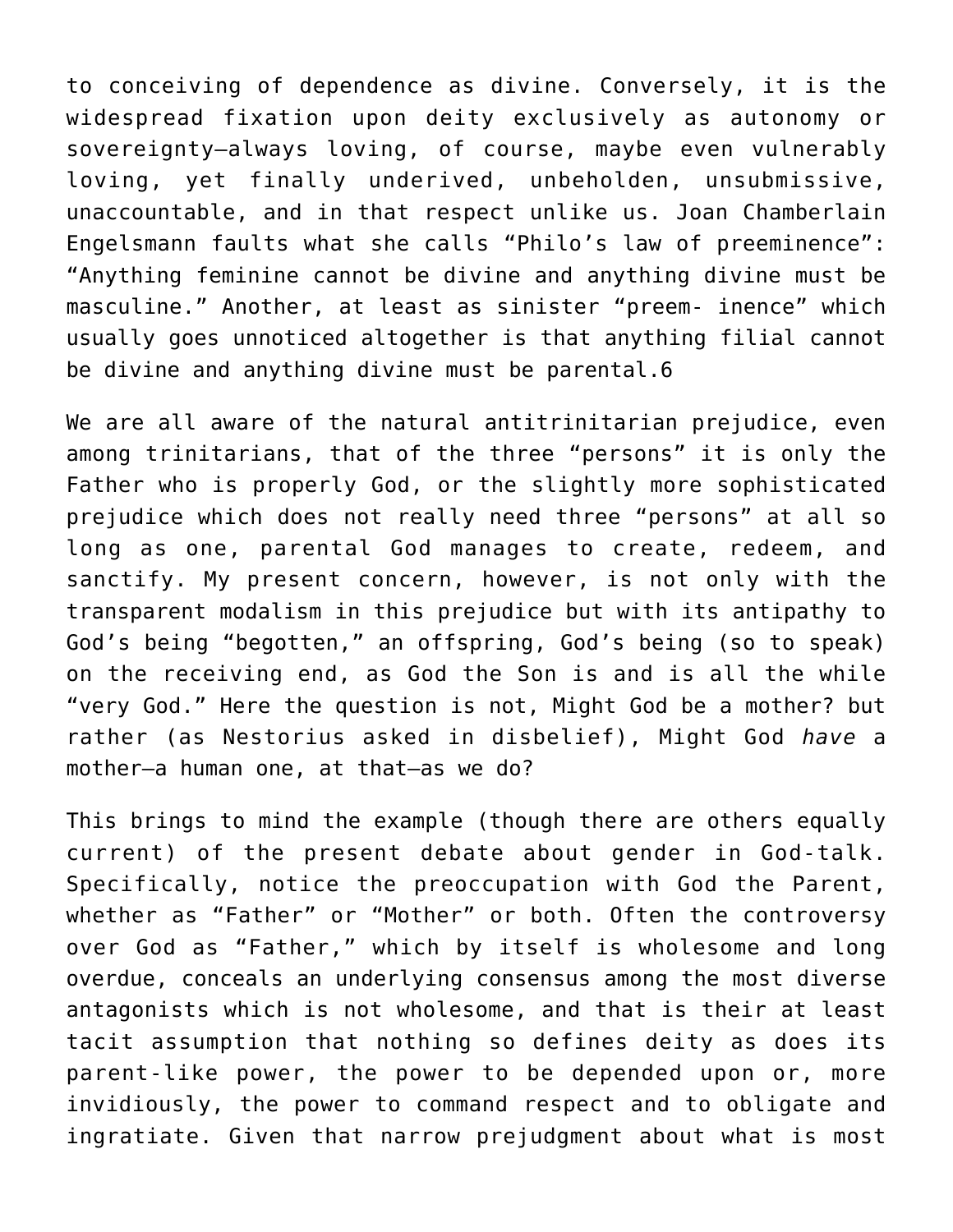to conceiving of dependence as divine. Conversely, it is the widespread fixation upon deity exclusively as autonomy or sovereignty—always loving, of course, maybe even vulnerably loving, yet finally underived, unbeholden, unsubmissive, unaccountable, and in that respect unlike us. Joan Chamberlain Engelsmann faults what she calls "Philo's law of preeminence": "Anything feminine cannot be divine and anything divine must be masculine." Another, at least as sinister "preem- inence" which usually goes unnoticed altogether is that anything filial cannot be divine and anything divine must be parental.6

We are all aware of the natural antitrinitarian prejudice, even among trinitarians, that of the three "persons" it is only the Father who is properly God, or the slightly more sophisticated prejudice which does not really need three "persons" at all so long as one, parental God manages to create, redeem, and sanctify. My present concern, however, is not only with the transparent modalism in this prejudice but with its antipathy to God's being "begotten," an offspring, God's being (so to speak) on the receiving end, as God the Son is and is all the while "very God." Here the question is not, Might God be a mother? but rather (as Nestorius asked in disbelief), Might God *have* a mother—a human one, at that—as we do?

This brings to mind the example (though there are others equally current) of the present debate about gender in God-talk. Specifically, notice the preoccupation with God the Parent, whether as "Father" or "Mother" or both. Often the controversy over God as "Father," which by itself is wholesome and long overdue, conceals an underlying consensus among the most diverse antagonists which is not wholesome, and that is their at least tacit assumption that nothing so defines deity as does its parent-like power, the power to be depended upon or, more invidiously, the power to command respect and to obligate and ingratiate. Given that narrow prejudgment about what is most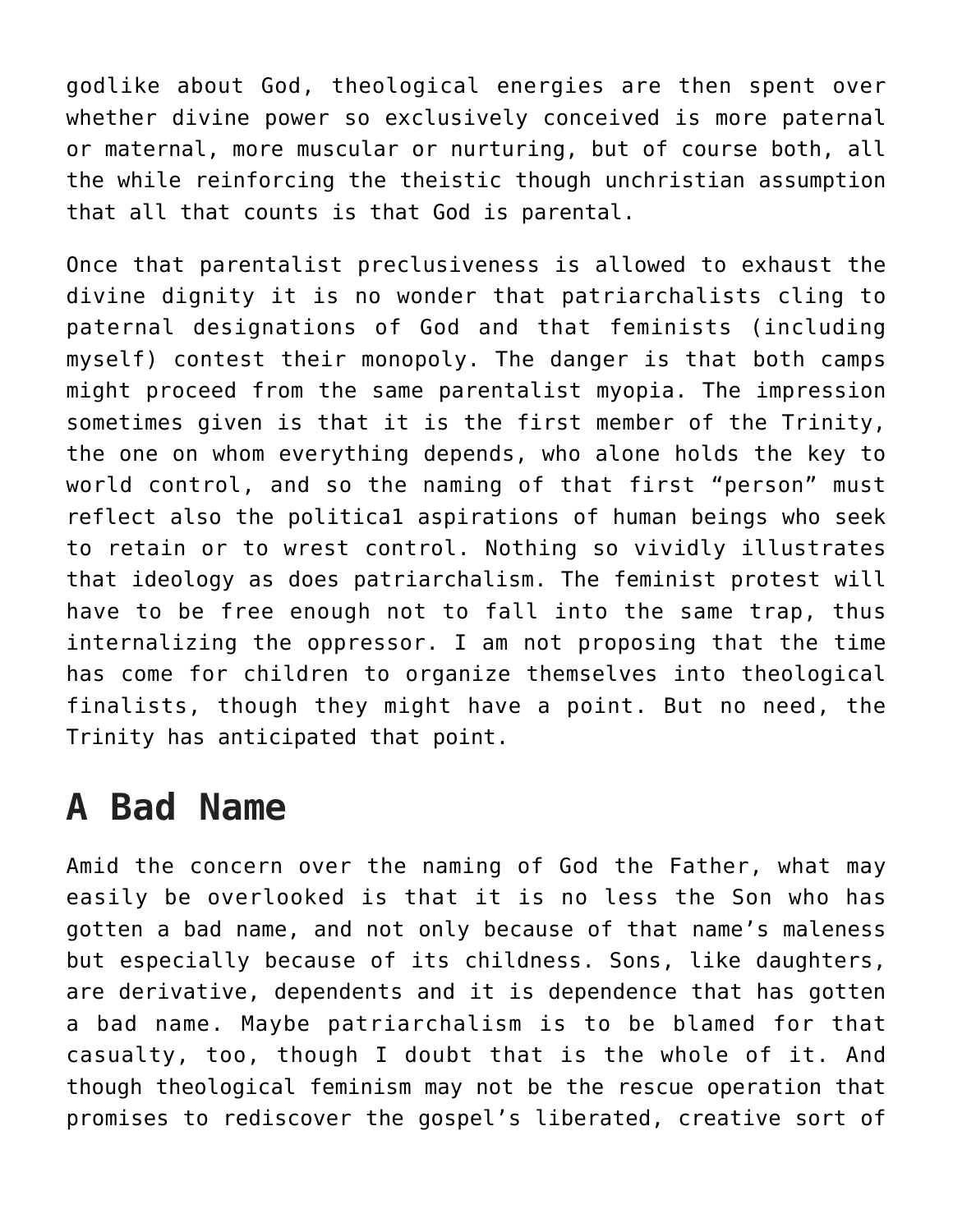godlike about God, theological energies are then spent over whether divine power so exclusively conceived is more paternal or maternal, more muscular or nurturing, but of course both, all the while reinforcing the theistic though unchristian assumption that all that counts is that God is parental.

Once that parentalist preclusiveness is allowed to exhaust the divine dignity it is no wonder that patriarchalists cling to paternal designations of God and that feminists (including myself) contest their monopoly. The danger is that both camps might proceed from the same parentalist myopia. The impression sometimes given is that it is the first member of the Trinity, the one on whom everything depends, who alone holds the key to world control, and so the naming of that first "person" must reflect also the politica1 aspirations of human beings who seek to retain or to wrest control. Nothing so vividly illustrates that ideology as does patriarchalism. The feminist protest will have to be free enough not to fall into the same trap, thus internalizing the oppressor. I am not proposing that the time has come for children to organize themselves into theological finalists, though they might have a point. But no need, the Trinity has anticipated that point.

### **A Bad Name**

Amid the concern over the naming of God the Father, what may easily be overlooked is that it is no less the Son who has gotten a bad name, and not only because of that name's maleness but especially because of its childness. Sons, like daughters, are derivative, dependents and it is dependence that has gotten a bad name. Maybe patriarchalism is to be blamed for that casualty, too, though I doubt that is the whole of it. And though theological feminism may not be the rescue operation that promises to rediscover the gospel's liberated, creative sort of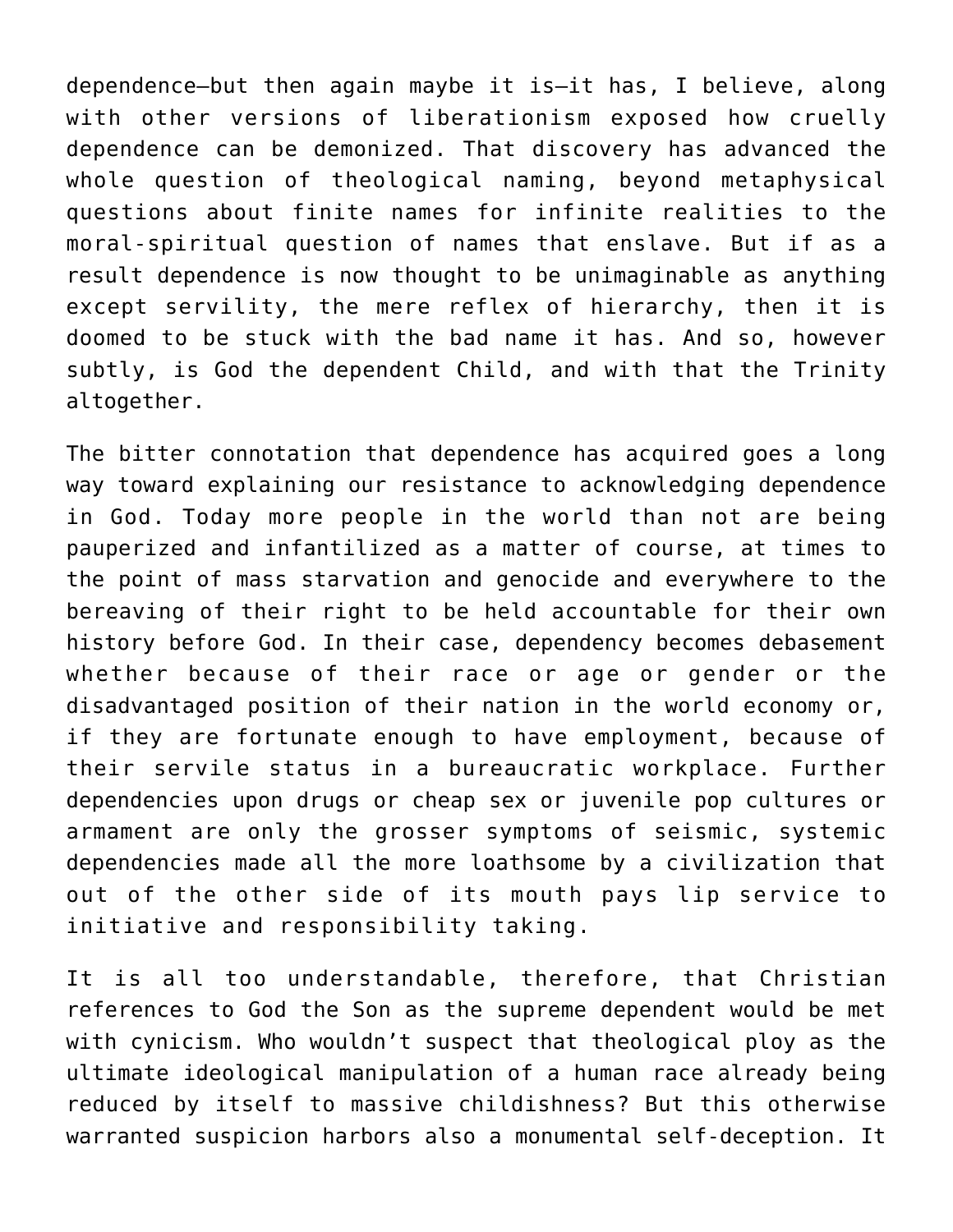dependence—but then again maybe it is—it has, I believe, along with other versions of liberationism exposed how cruelly dependence can be demonized. That discovery has advanced the whole question of theological naming, beyond metaphysical questions about finite names for infinite realities to the moral-spiritual question of names that enslave. But if as a result dependence is now thought to be unimaginable as anything except servility, the mere reflex of hierarchy, then it is doomed to be stuck with the bad name it has. And so, however subtly, is God the dependent Child, and with that the Trinity altogether.

The bitter connotation that dependence has acquired goes a long way toward explaining our resistance to acknowledging dependence in God. Today more people in the world than not are being pauperized and infantilized as a matter of course, at times to the point of mass starvation and genocide and everywhere to the bereaving of their right to be held accountable for their own history before God. In their case, dependency becomes debasement whether because of their race or age or gender or the disadvantaged position of their nation in the world economy or, if they are fortunate enough to have employment, because of their servile status in a bureaucratic workplace. Further dependencies upon drugs or cheap sex or juvenile pop cultures or armament are only the grosser symptoms of seismic, systemic dependencies made all the more loathsome by a civilization that out of the other side of its mouth pays lip service to initiative and responsibility taking.

It is all too understandable, therefore, that Christian references to God the Son as the supreme dependent would be met with cynicism. Who wouldn't suspect that theological ploy as the ultimate ideological manipulation of a human race already being reduced by itself to massive childishness? But this otherwise warranted suspicion harbors also a monumental self-deception. It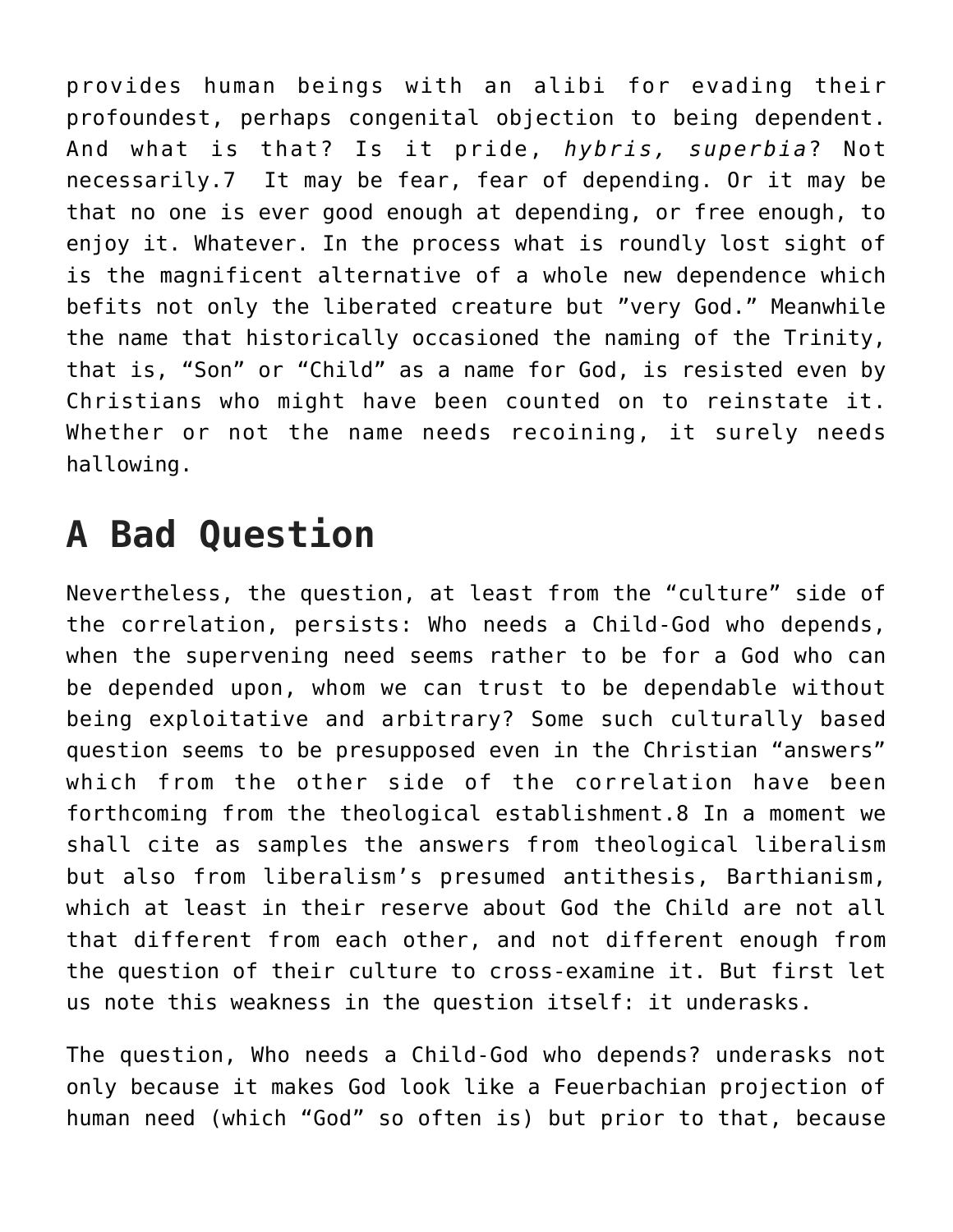provides human beings with an alibi for evading their profoundest, perhaps congenital objection to being dependent. And what is that? Is it pride, *hybris, superbia*? Not necessarily.7 It may be fear, fear of depending. Or it may be that no one is ever good enough at depending, or free enough, to enjoy it. Whatever. In the process what is roundly lost sight of is the magnificent alternative of a whole new dependence which befits not only the liberated creature but "very God." Meanwhile the name that historically occasioned the naming of the Trinity, that is, "Son" or "Child" as a name for God, is resisted even by Christians who might have been counted on to reinstate it. Whether or not the name needs recoining, it surely needs hallowing.

## **A Bad Question**

Nevertheless, the question, at least from the "culture" side of the correlation, persists: Who needs a Child-God who depends, when the supervening need seems rather to be for a God who can be depended upon, whom we can trust to be dependable without being exploitative and arbitrary? Some such culturally based question seems to be presupposed even in the Christian "answers" which from the other side of the correlation have been forthcoming from the theological establishment.8 In a moment we shall cite as samples the answers from theological liberalism but also from liberalism's presumed antithesis, Barthianism, which at least in their reserve about God the Child are not all that different from each other, and not different enough from the question of their culture to cross-examine it. But first let us note this weakness in the question itself: it underasks.

The question, Who needs a Child-God who depends? underasks not only because it makes God look like a Feuerbachian projection of human need (which "God" so often is) but prior to that, because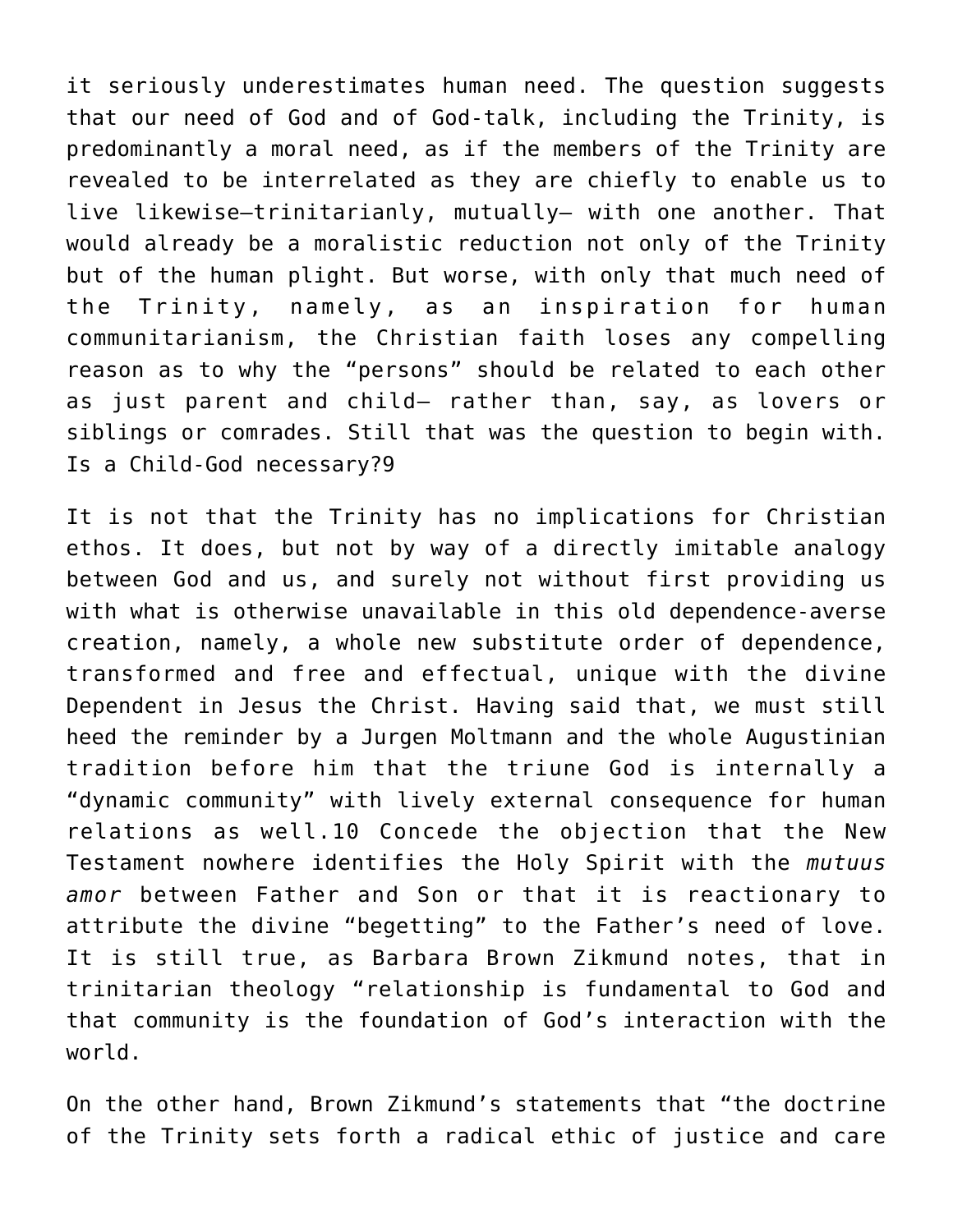it seriously underestimates human need. The question suggests that our need of God and of God-talk, including the Trinity, is predominantly a moral need, as if the members of the Trinity are revealed to be interrelated as they are chiefly to enable us to live likewise—trinitarianly, mutually— with one another. That would already be a moralistic reduction not only of the Trinity but of the human plight. But worse, with only that much need of the Trinity, namely, as an inspiration for human communitarianism, the Christian faith loses any compelling reason as to why the "persons" should be related to each other as just parent and child— rather than, say, as lovers or siblings or comrades. Still that was the question to begin with. Is a Child-God necessary?9

It is not that the Trinity has no implications for Christian ethos. It does, but not by way of a directly imitable analogy between God and us, and surely not without first providing us with what is otherwise unavailable in this old dependence-averse creation, namely, a whole new substitute order of dependence, transformed and free and effectual, unique with the divine Dependent in Jesus the Christ. Having said that, we must still heed the reminder by a Jurgen Moltmann and the whole Augustinian tradition before him that the triune God is internally a "dynamic community" with lively external consequence for human relations as well.10 Concede the objection that the New Testament nowhere identifies the Holy Spirit with the *mutuus amor* between Father and Son or that it is reactionary to attribute the divine "begetting" to the Father's need of love. It is still true, as Barbara Brown Zikmund notes, that in trinitarian theology "relationship is fundamental to God and that community is the foundation of God's interaction with the world.

On the other hand, Brown Zikmund's statements that "the doctrine of the Trinity sets forth a radical ethic of justice and care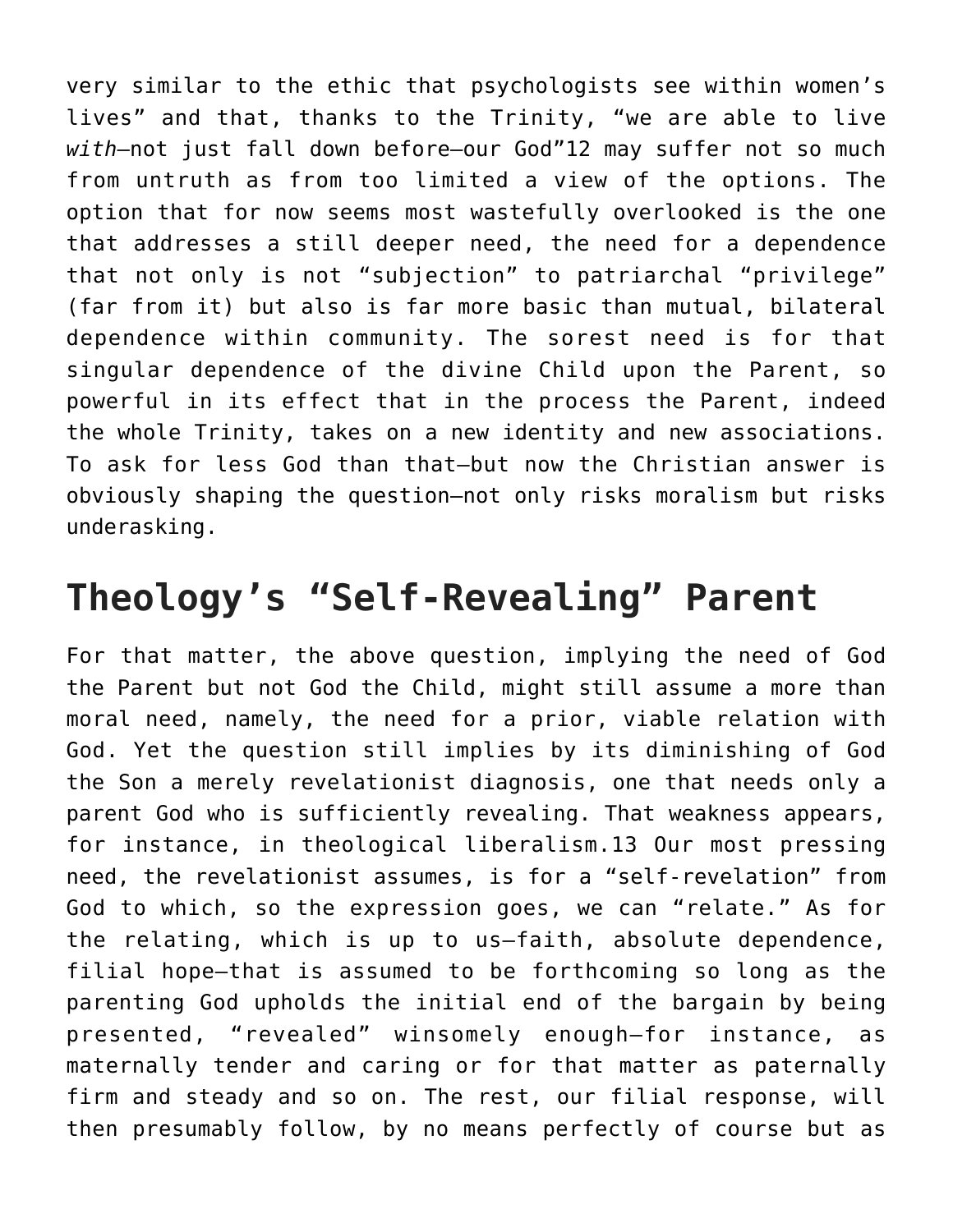very similar to the ethic that psychologists see within women's lives" and that, thanks to the Trinity, "we are able to live *with*—not just fall down before–our God"12 may suffer not so much from untruth as from too limited a view of the options. The option that for now seems most wastefully overlooked is the one that addresses a still deeper need, the need for a dependence that not only is not "subjection" to patriarchal "privilege" (far from it) but also is far more basic than mutual, bilateral dependence within community. The sorest need is for that singular dependence of the divine Child upon the Parent, so powerful in its effect that in the process the Parent, indeed the whole Trinity, takes on a new identity and new associations. To ask for less God than that—but now the Christian answer is obviously shaping the question—not only risks moralism but risks underasking.

## **Theology's "Self-Revealing" Parent**

For that matter, the above question, implying the need of God the Parent but not God the Child, might still assume a more than moral need, namely, the need for a prior, viable relation with God. Yet the question still implies by its diminishing of God the Son a merely revelationist diagnosis, one that needs only a parent God who is sufficiently revealing. That weakness appears, for instance, in theological liberalism.13 Our most pressing need, the revelationist assumes, is for a "self-revelation" from God to which, so the expression goes, we can "relate." As for the relating, which is up to us—faith, absolute dependence, filial hope—that is assumed to be forthcoming so long as the parenting God upholds the initial end of the bargain by being presented, "revealed" winsomely enough—for instance, as maternally tender and caring or for that matter as paternally firm and steady and so on. The rest, our filial response, will then presumably follow, by no means perfectly of course but as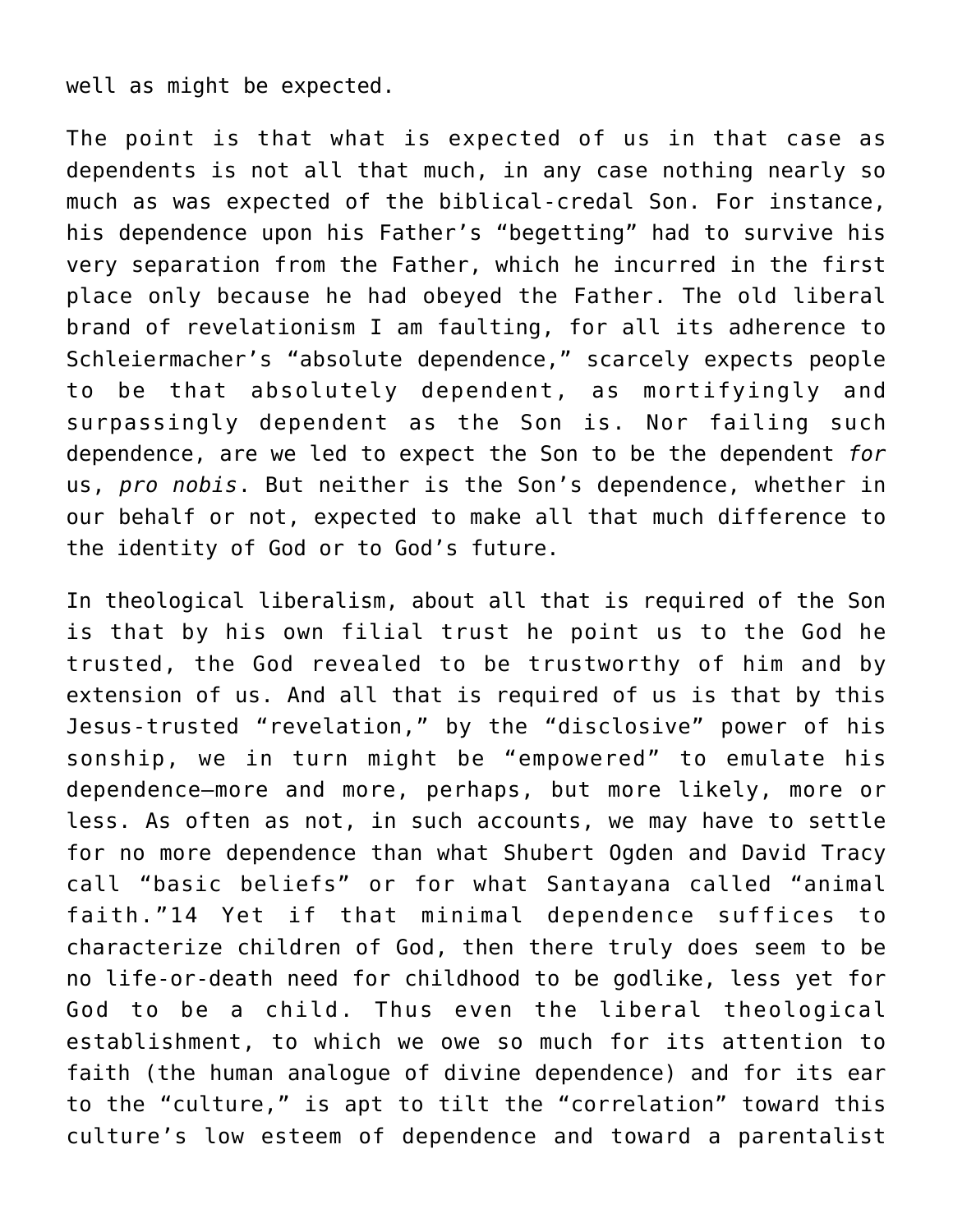well as might be expected.

The point is that what is expected of us in that case as dependents is not all that much, in any case nothing nearly so much as was expected of the biblical-credal Son. For instance, his dependence upon his Father's "begetting" had to survive his very separation from the Father, which he incurred in the first place only because he had obeyed the Father. The old liberal brand of revelationism I am faulting, for all its adherence to Schleiermacher's "absolute dependence," scarcely expects people to be that absolutely dependent, as mortifyingly and surpassingly dependent as the Son is. Nor failing such dependence, are we led to expect the Son to be the dependent *for* us, *pro nobis*. But neither is the Son's dependence, whether in our behalf or not, expected to make all that much difference to the identity of God or to God's future.

In theological liberalism, about all that is required of the Son is that by his own filial trust he point us to the God he trusted, the God revealed to be trustworthy of him and by extension of us. And all that is required of us is that by this Jesus-trusted "revelation," by the "disclosive" power of his sonship, we in turn might be "empowered" to emulate his dependence—more and more, perhaps, but more likely, more or less. As often as not, in such accounts, we may have to settle for no more dependence than what Shubert Ogden and David Tracy call "basic beliefs" or for what Santayana called "animal faith."14 Yet if that minimal dependence suffices to characterize children of God, then there truly does seem to be no life-or-death need for childhood to be godlike, less yet for God to be a child. Thus even the liberal theological establishment, to which we owe so much for its attention to faith (the human analogue of divine dependence) and for its ear to the "culture," is apt to tilt the "correlation" toward this culture's low esteem of dependence and toward a parentalist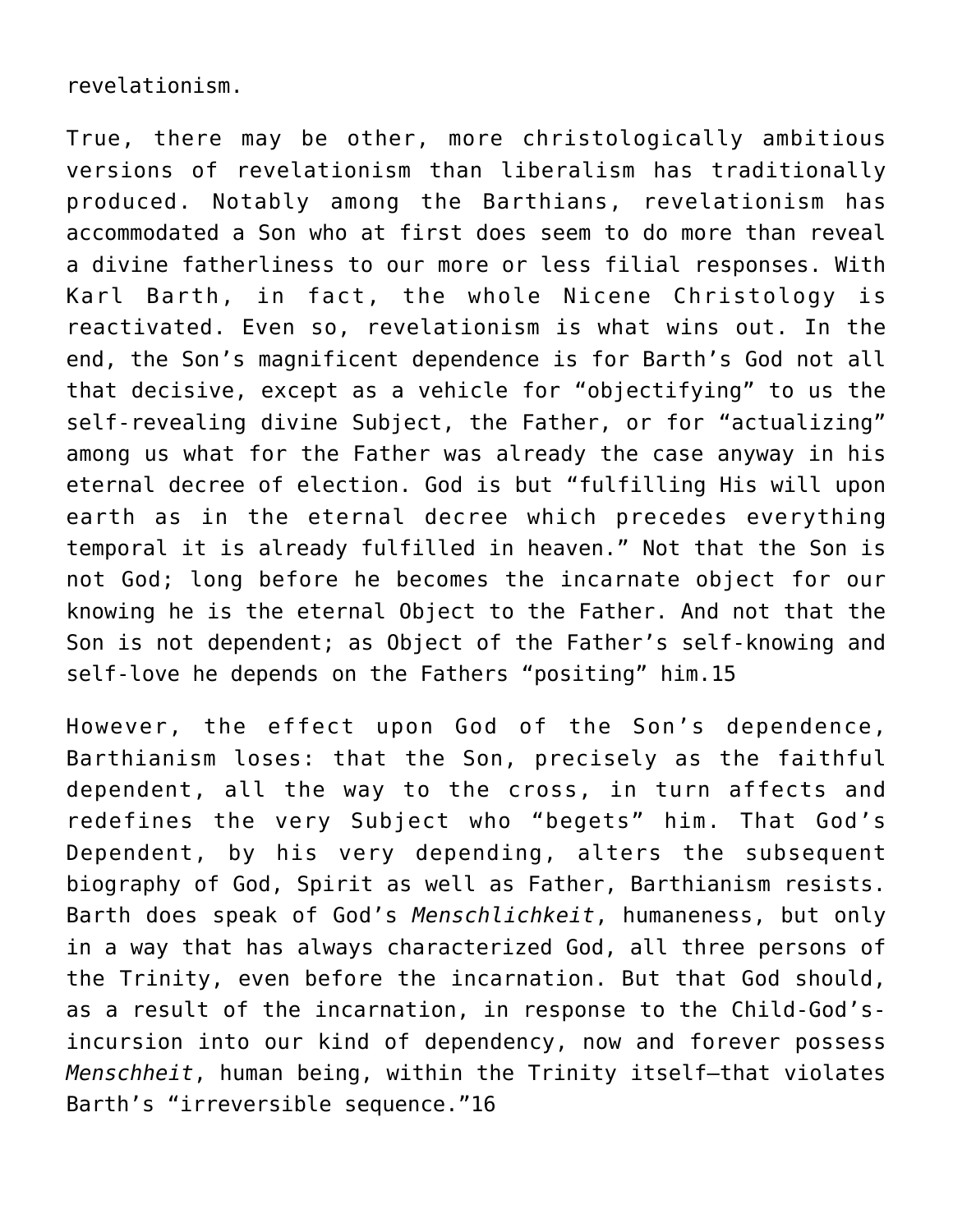#### revelationism.

True, there may be other, more christologically ambitious versions of revelationism than liberalism has traditionally produced. Notably among the Barthians, revelationism has accommodated a Son who at first does seem to do more than reveal a divine fatherliness to our more or less filial responses. With Karl Barth, in fact, the whole Nicene Christology is reactivated. Even so, revelationism is what wins out. In the end, the Son's magnificent dependence is for Barth's God not all that decisive, except as a vehicle for "objectifying" to us the self-revealing divine Subject, the Father, or for "actualizing" among us what for the Father was already the case anyway in his eternal decree of election. God is but "fulfilling His will upon earth as in the eternal decree which precedes everything temporal it is already fulfilled in heaven." Not that the Son is not God; long before he becomes the incarnate object for our knowing he is the eternal Object to the Father. And not that the Son is not dependent; as Object of the Father's self-knowing and self-love he depends on the Fathers "positing" him.15

However, the effect upon God of the Son's dependence, Barthianism loses: that the Son, precisely as the faithful dependent, all the way to the cross, in turn affects and redefines the very Subject who "begets" him. That God's Dependent, by his very depending, alters the subsequent biography of God, Spirit as well as Father, Barthianism resists. Barth does speak of God's *Menschlichkeit*, humaneness, but only in a way that has always characterized God, all three persons of the Trinity, even before the incarnation. But that God should, as a result of the incarnation, in response to the Child-God'sincursion into our kind of dependency, now and forever possess *Menschheit*, human being, within the Trinity itself—that violates Barth's "irreversible sequence."16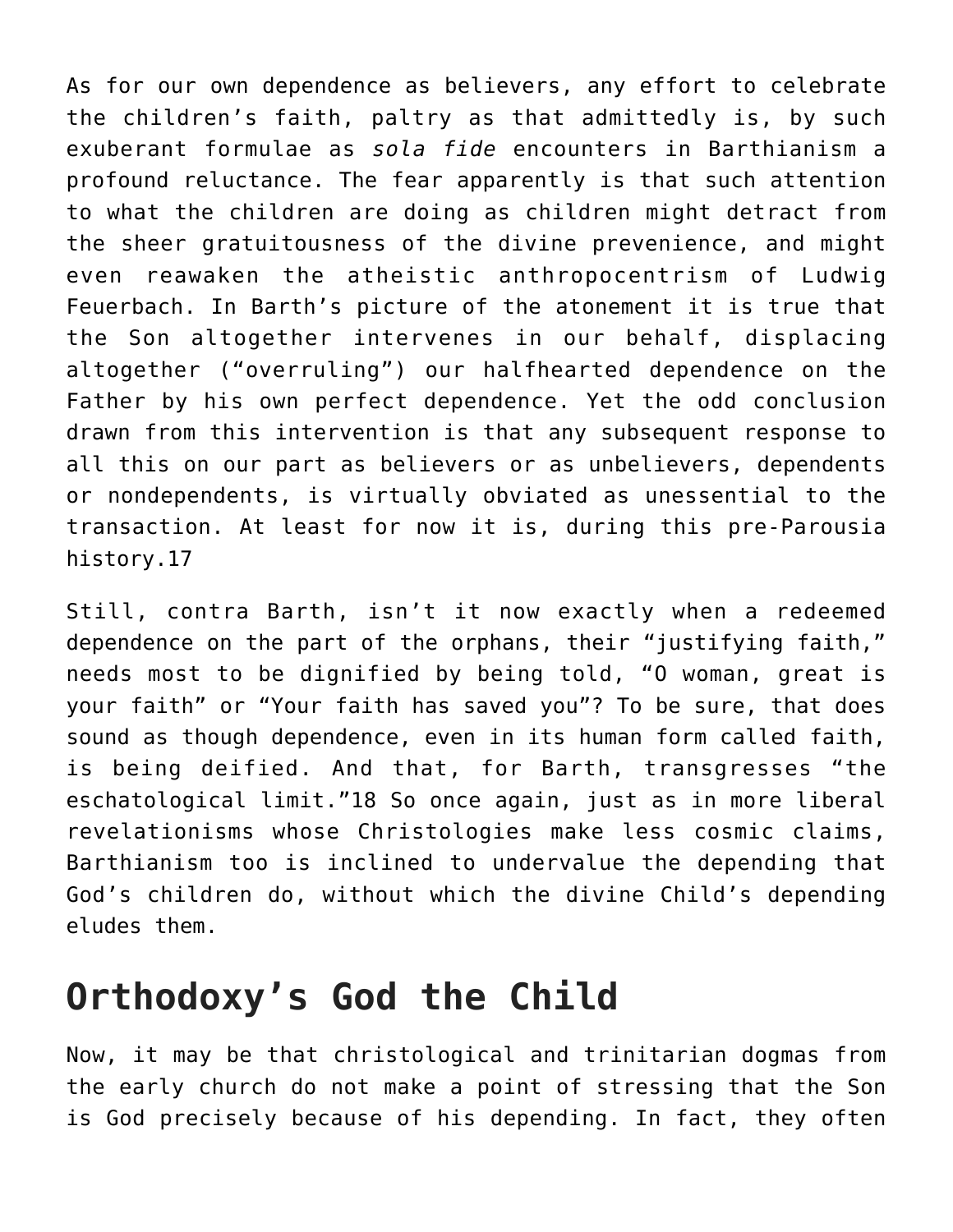As for our own dependence as believers, any effort to celebrate the children's faith, paltry as that admittedly is, by such exuberant formulae as *sola fide* encounters in Barthianism a profound reluctance. The fear apparently is that such attention to what the children are doing as children might detract from the sheer gratuitousness of the divine prevenience, and might even reawaken the atheistic anthropocentrism of Ludwig Feuerbach. In Barth's picture of the atonement it is true that the Son altogether intervenes in our behalf, displacing altogether ("overruling") our halfhearted dependence on the Father by his own perfect dependence. Yet the odd conclusion drawn from this intervention is that any subsequent response to all this on our part as believers or as unbelievers, dependents or nondependents, is virtually obviated as unessential to the transaction. At least for now it is, during this pre-Parousia history.17

Still, contra Barth, isn't it now exactly when a redeemed dependence on the part of the orphans, their "justifying faith," needs most to be dignified by being told, "O woman, great is your faith" or "Your faith has saved you"? To be sure, that does sound as though dependence, even in its human form called faith, is being deified. And that, for Barth, transgresses "the eschatological limit."18 So once again, just as in more liberal revelationisms whose Christologies make less cosmic claims, Barthianism too is inclined to undervalue the depending that God's children do, without which the divine Child's depending eludes them.

## **Orthodoxy's God the Child**

Now, it may be that christological and trinitarian dogmas from the early church do not make a point of stressing that the Son is God precisely because of his depending. In fact, they often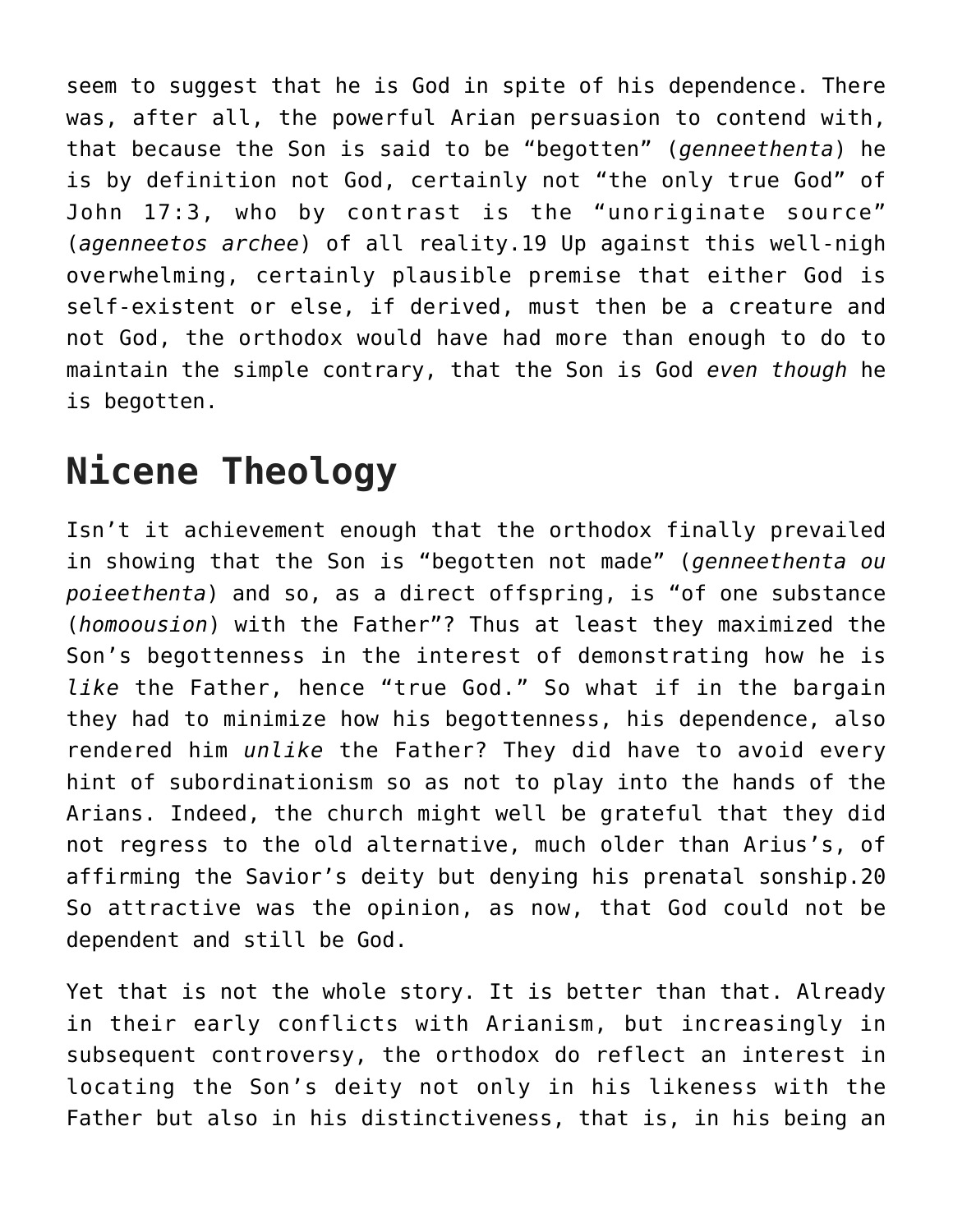seem to suggest that he is God in spite of his dependence. There was, after all, the powerful Arian persuasion to contend with, that because the Son is said to be "begotten" (*genneethenta*) he is by definition not God, certainly not "the only true God" of John 17:3, who by contrast is the "unoriginate source" (*agenneetos archee*) of all reality.19 Up against this well-nigh overwhelming, certainly plausible premise that either God is self-existent or else, if derived, must then be a creature and not God, the orthodox would have had more than enough to do to maintain the simple contrary, that the Son is God *even though* he is begotten.

## **Nicene Theology**

Isn't it achievement enough that the orthodox finally prevailed in showing that the Son is "begotten not made" (*genneethenta ou poieethenta*) and so, as a direct offspring, is "of one substance (*homoousion*) with the Father"? Thus at least they maximized the Son's begottenness in the interest of demonstrating how he is *like* the Father, hence "true God." So what if in the bargain they had to minimize how his begottenness, his dependence, also rendered him *unlike* the Father? They did have to avoid every hint of subordinationism so as not to play into the hands of the Arians. Indeed, the church might well be grateful that they did not regress to the old alternative, much older than Arius's, of affirming the Savior's deity but denying his prenatal sonship.20 So attractive was the opinion, as now, that God could not be dependent and still be God.

Yet that is not the whole story. It is better than that. Already in their early conflicts with Arianism, but increasingly in subsequent controversy, the orthodox do reflect an interest in locating the Son's deity not only in his likeness with the Father but also in his distinctiveness, that is, in his being an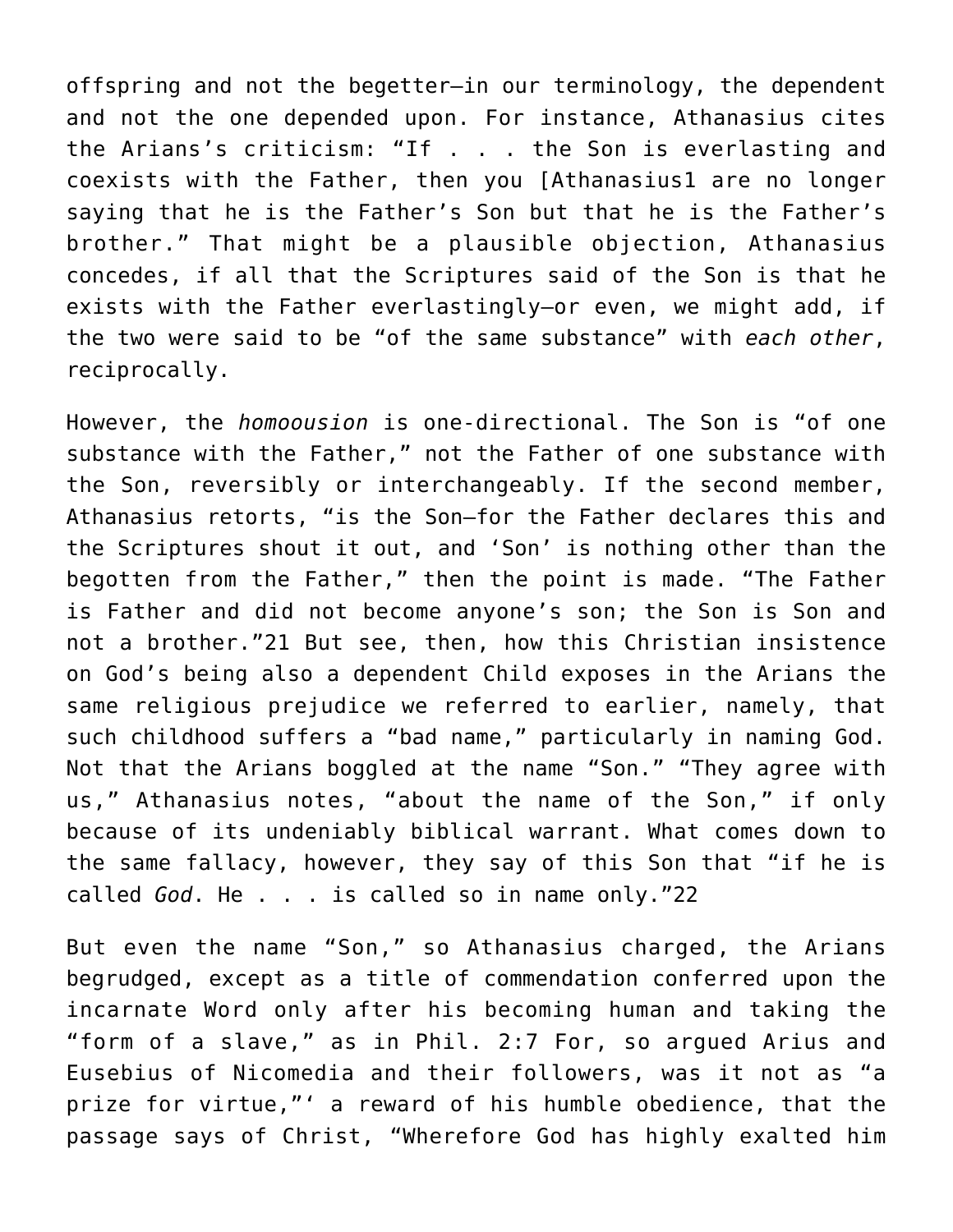offspring and not the begetter–in our terminology, the dependent and not the one depended upon. For instance, Athanasius cites the Arians's criticism: "If . . . the Son is everlasting and coexists with the Father, then you [Athanasius1 are no longer saying that he is the Father's Son but that he is the Father's brother." That might be a plausible objection, Athanasius concedes, if all that the Scriptures said of the Son is that he exists with the Father everlastingly—or even, we might add, if the two were said to be "of the same substance" with *each other*, reciprocally.

However, the *homoousion* is one-directional. The Son is "of one substance with the Father," not the Father of one substance with the Son, reversibly or interchangeably. If the second member, Athanasius retorts, "is the Son—for the Father declares this and the Scriptures shout it out, and 'Son' is nothing other than the begotten from the Father," then the point is made. "The Father is Father and did not become anyone's son; the Son is Son and not a brother."21 But see, then, how this Christian insistence on God's being also a dependent Child exposes in the Arians the same religious prejudice we referred to earlier, namely, that such childhood suffers a "bad name," particularly in naming God. Not that the Arians boggled at the name "Son." "They agree with us," Athanasius notes, "about the name of the Son," if only because of its undeniably biblical warrant. What comes down to the same fallacy, however, they say of this Son that "if he is called *God*. He . . . is called so in name only."22

But even the name "Son," so Athanasius charged, the Arians begrudged, except as a title of commendation conferred upon the incarnate Word only after his becoming human and taking the "form of a slave," as in Phil. 2:7 For, so argued Arius and Eusebius of Nicomedia and their followers, was it not as "a prize for virtue,"' a reward of his humble obedience, that the passage says of Christ, "Wherefore God has highly exalted him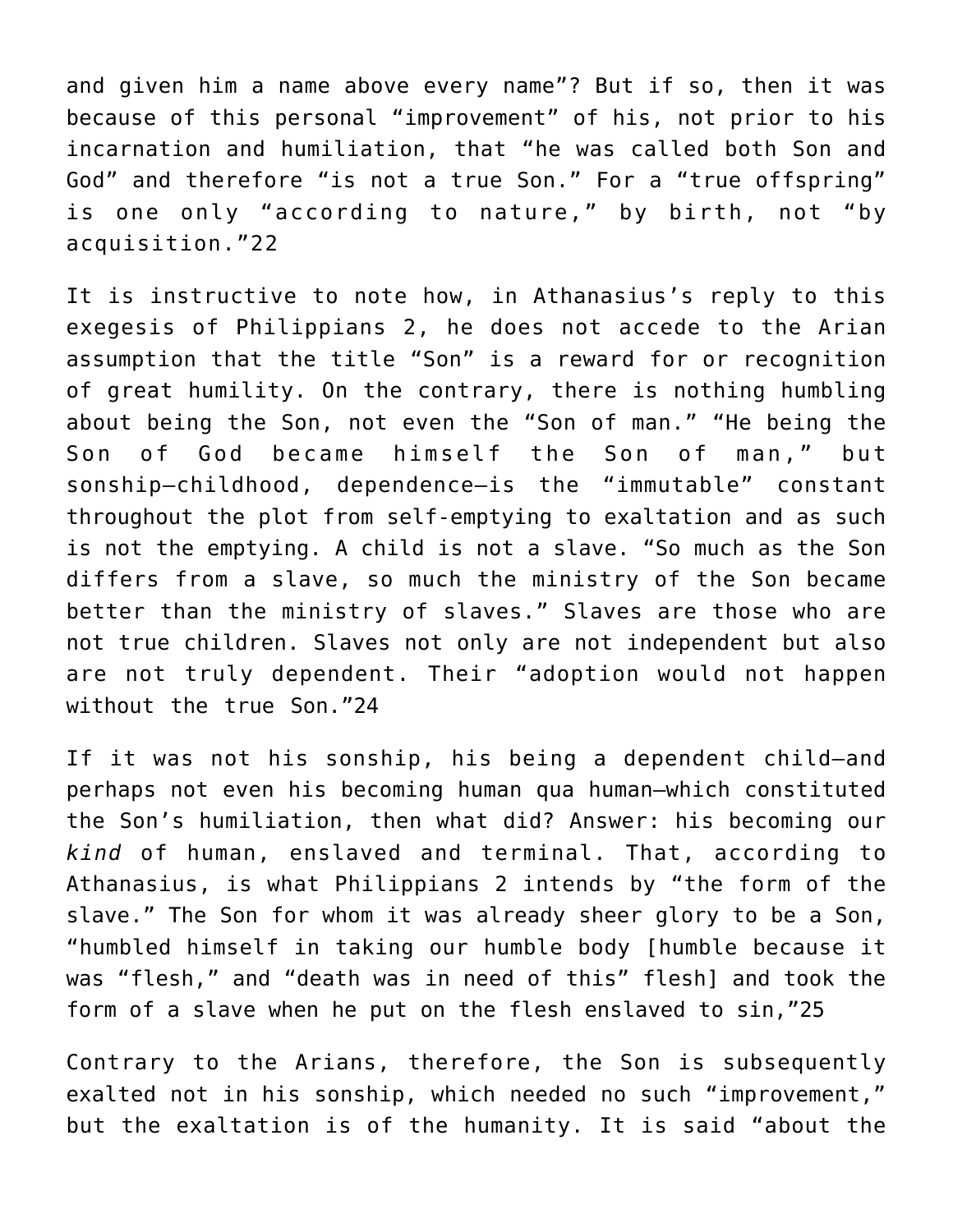and given him a name above every name"? But if so, then it was because of this personal "improvement" of his, not prior to his incarnation and humiliation, that "he was called both Son and God" and therefore "is not a true Son." For a "true offspring" is one only "according to nature," by birth, not "by acquisition."22

It is instructive to note how, in Athanasius's reply to this exegesis of Philippians 2, he does not accede to the Arian assumption that the title "Son" is a reward for or recognition of great humility. On the contrary, there is nothing humbling about being the Son, not even the "Son of man." "He being the Son of God became himself the Son of man," but sonship–childhood, dependence—is the "immutable" constant throughout the plot from self-emptying to exaltation and as such is not the emptying. A child is not a slave. "So much as the Son differs from a slave, so much the ministry of the Son became better than the ministry of slaves." Slaves are those who are not true children. Slaves not only are not independent but also are not truly dependent. Their "adoption would not happen without the true Son."24

If it was not his sonship, his being a dependent child—and perhaps not even his becoming human qua human—which constituted the Son's humiliation, then what did? Answer: his becoming our *kind* of human, enslaved and terminal. That, according to Athanasius, is what Philippians 2 intends by "the form of the slave." The Son for whom it was already sheer glory to be a Son, "humbled himself in taking our humble body [humble because it was "flesh," and "death was in need of this" flesh] and took the form of a slave when he put on the flesh enslaved to sin,"25

Contrary to the Arians, therefore, the Son is subsequently exalted not in his sonship, which needed no such "improvement," but the exaltation is of the humanity. It is said "about the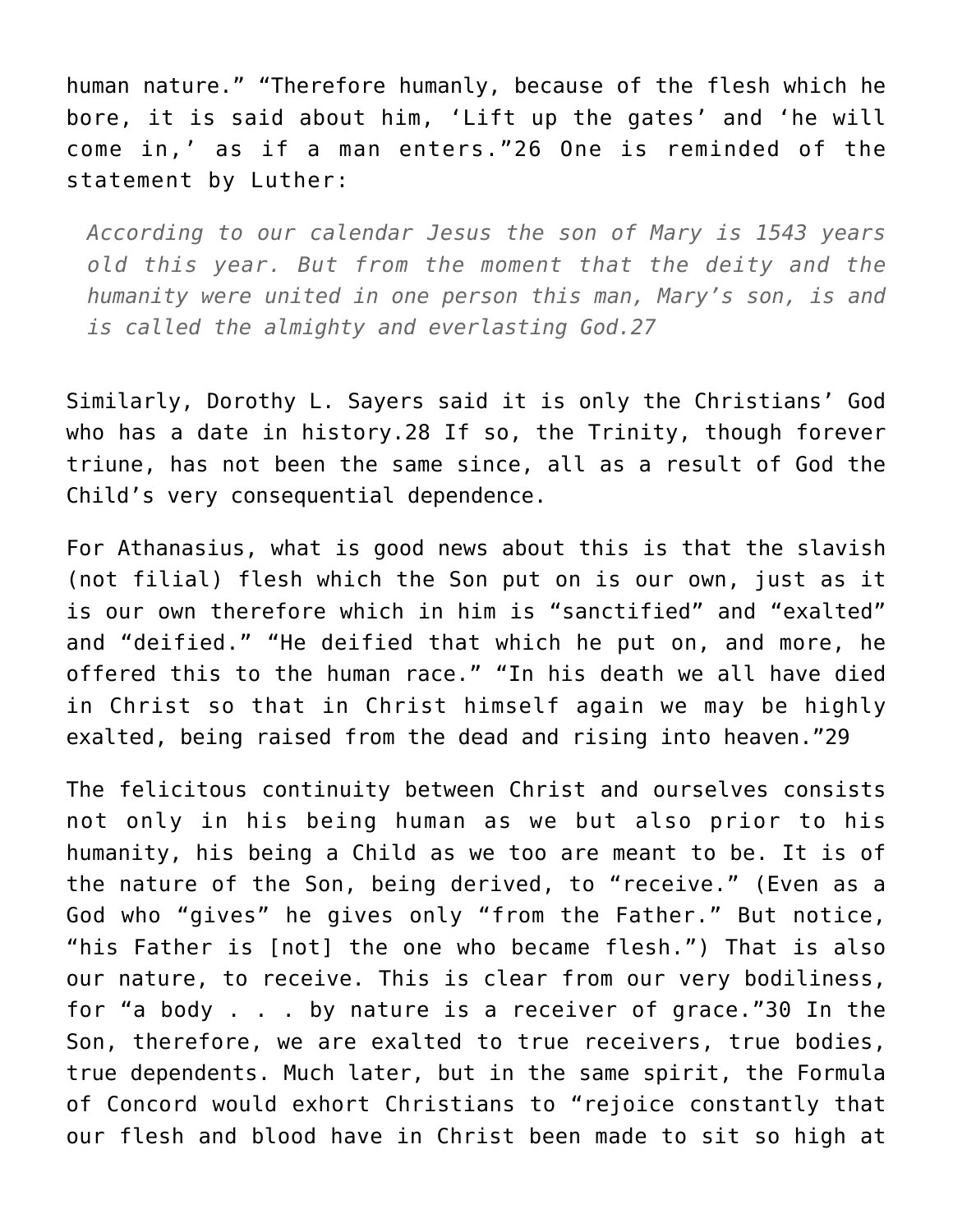human nature." "Therefore humanly, because of the flesh which he bore, it is said about him, 'Lift up the gates' and 'he will come in,' as if a man enters."26 One is reminded of the statement by Luther:

*According to our calendar Jesus the son of Mary is 1543 years old this year. But from the moment that the deity and the humanity were united in one person this man, Mary's son, is and is called the almighty and everlasting God.27*

Similarly, Dorothy L. Sayers said it is only the Christians' God who has a date in history.28 If so, the Trinity, though forever triune, has not been the same since, all as a result of God the Child's very consequential dependence.

For Athanasius, what is good news about this is that the slavish (not filial) flesh which the Son put on is our own, just as it is our own therefore which in him is "sanctified" and "exalted" and "deified." "He deified that which he put on, and more, he offered this to the human race." "In his death we all have died in Christ so that in Christ himself again we may be highly exalted, being raised from the dead and rising into heaven."29

The felicitous continuity between Christ and ourselves consists not only in his being human as we but also prior to his humanity, his being a Child as we too are meant to be. It is of the nature of the Son, being derived, to "receive." (Even as a God who "gives" he gives only "from the Father." But notice, "his Father is [not] the one who became flesh.") That is also our nature, to receive. This is clear from our very bodiliness, for "a body . . . by nature is a receiver of grace."30 In the Son, therefore, we are exalted to true receivers, true bodies, true dependents. Much later, but in the same spirit, the Formula of Concord would exhort Christians to "rejoice constantly that our flesh and blood have in Christ been made to sit so high at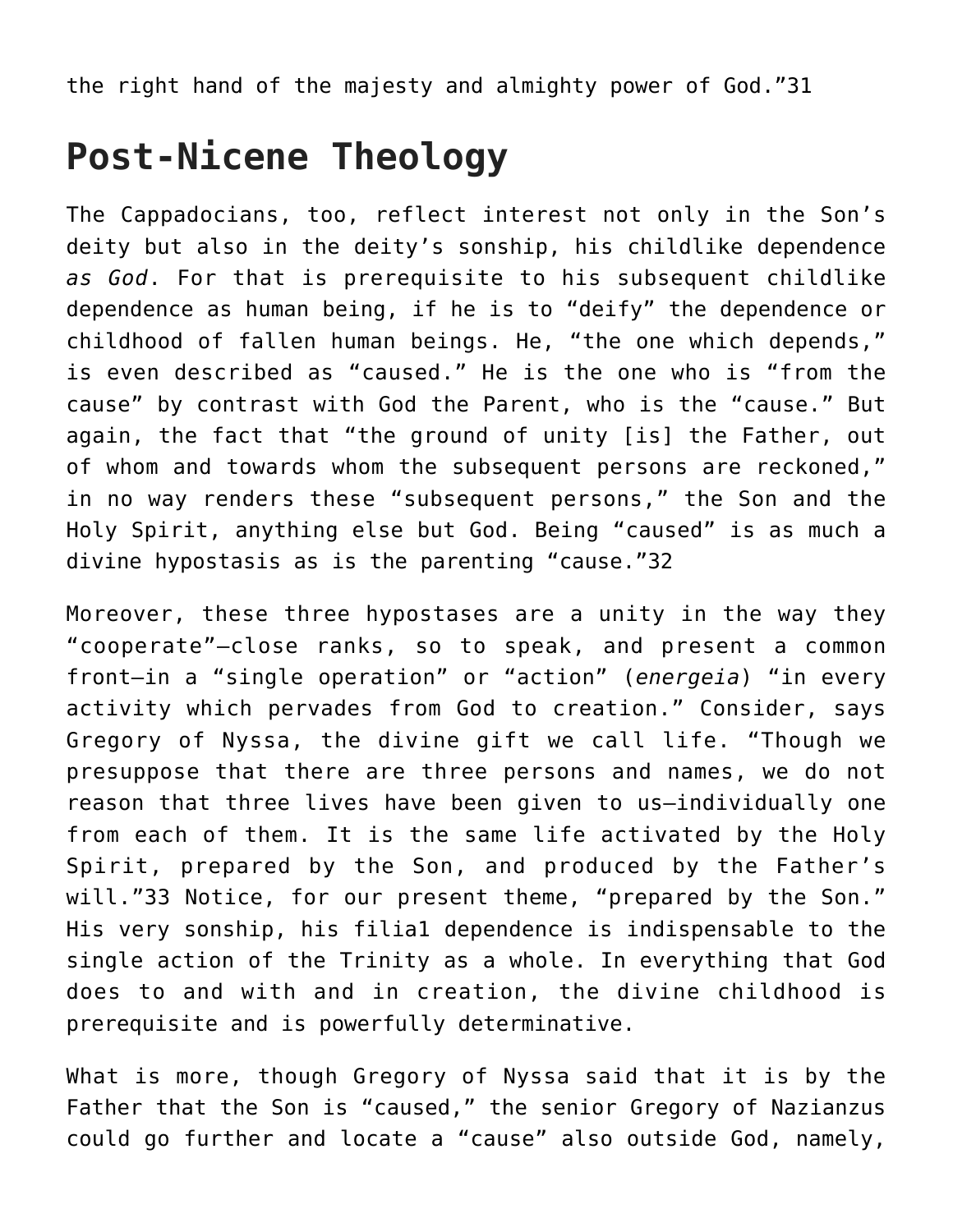the right hand of the majesty and almighty power of God."31

## **Post-Nicene Theology**

The Cappadocians, too, reflect interest not only in the Son's deity but also in the deity's sonship, his childlike dependence *as God*. For that is prerequisite to his subsequent childlike dependence as human being, if he is to "deify" the dependence or childhood of fallen human beings. He, "the one which depends," is even described as "caused." He is the one who is "from the cause" by contrast with God the Parent, who is the "cause." But again, the fact that "the ground of unity [is] the Father, out of whom and towards whom the subsequent persons are reckoned," in no way renders these "subsequent persons," the Son and the Holy Spirit, anything else but God. Being "caused" is as much a divine hypostasis as is the parenting "cause."32

Moreover, these three hypostases are a unity in the way they "cooperate"—close ranks, so to speak, and present a common front—in a "single operation" or "action" (*energeia*) "in every activity which pervades from God to creation." Consider, says Gregory of Nyssa, the divine gift we call life. "Though we presuppose that there are three persons and names, we do not reason that three lives have been given to us—individually one from each of them. It is the same life activated by the Holy Spirit, prepared by the Son, and produced by the Father's will."33 Notice, for our present theme, "prepared by the Son." His very sonship, his filia1 dependence is indispensable to the single action of the Trinity as a whole. In everything that God does to and with and in creation, the divine childhood is prerequisite and is powerfully determinative.

What is more, though Gregory of Nyssa said that it is by the Father that the Son is "caused," the senior Gregory of Nazianzus could go further and locate a "cause" also outside God, namely,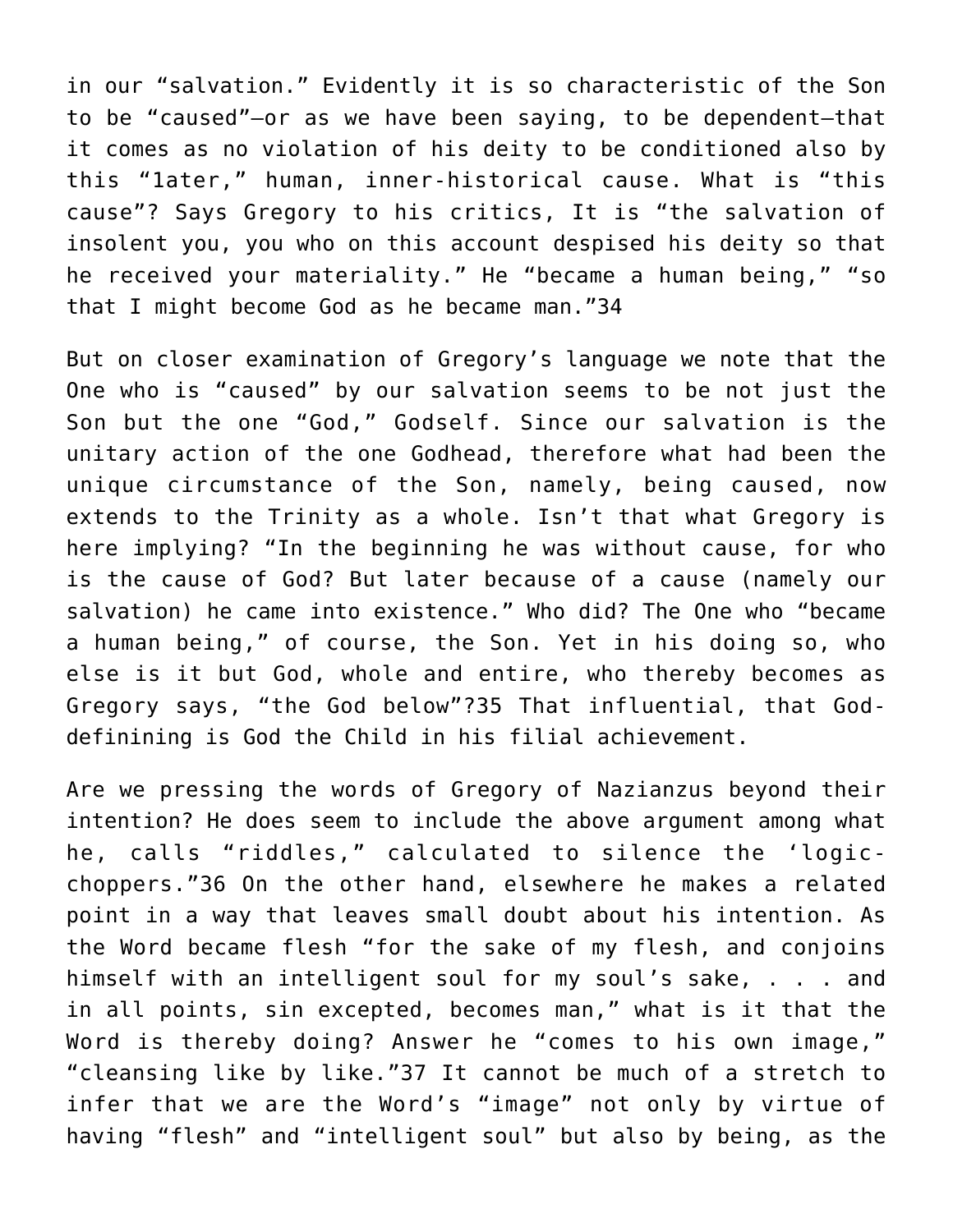in our "salvation." Evidently it is so characteristic of the Son to be "caused"—or as we have been saying, to be dependent—that it comes as no violation of his deity to be conditioned also by this "1ater," human, inner-historical cause. What is "this cause"? Says Gregory to his critics, It is "the salvation of insolent you, you who on this account despised his deity so that he received your materiality." He "became a human being," "so that I might become God as he became man."34

But on closer examination of Gregory's language we note that the One who is "caused" by our salvation seems to be not just the Son but the one "God," Godself. Since our salvation is the unitary action of the one Godhead, therefore what had been the unique circumstance of the Son, namely, being caused, now extends to the Trinity as a whole. Isn't that what Gregory is here implying? "In the beginning he was without cause, for who is the cause of God? But later because of a cause (namely our salvation) he came into existence." Who did? The One who "became a human being," of course, the Son. Yet in his doing so, who else is it but God, whole and entire, who thereby becomes as Gregory says, "the God below"?35 That influential, that Goddefinining is God the Child in his filial achievement.

Are we pressing the words of Gregory of Nazianzus beyond their intention? He does seem to include the above argument among what he, calls "riddles," calculated to silence the 'logicchoppers."36 On the other hand, elsewhere he makes a related point in a way that leaves small doubt about his intention. As the Word became flesh "for the sake of my flesh, and conjoins himself with an intelligent soul for my soul's sake, . . . and in all points, sin excepted, becomes man," what is it that the Word is thereby doing? Answer he "comes to his own image," "cleansing like by like."37 It cannot be much of a stretch to infer that we are the Word's "image" not only by virtue of having "flesh" and "intelligent soul" but also by being, as the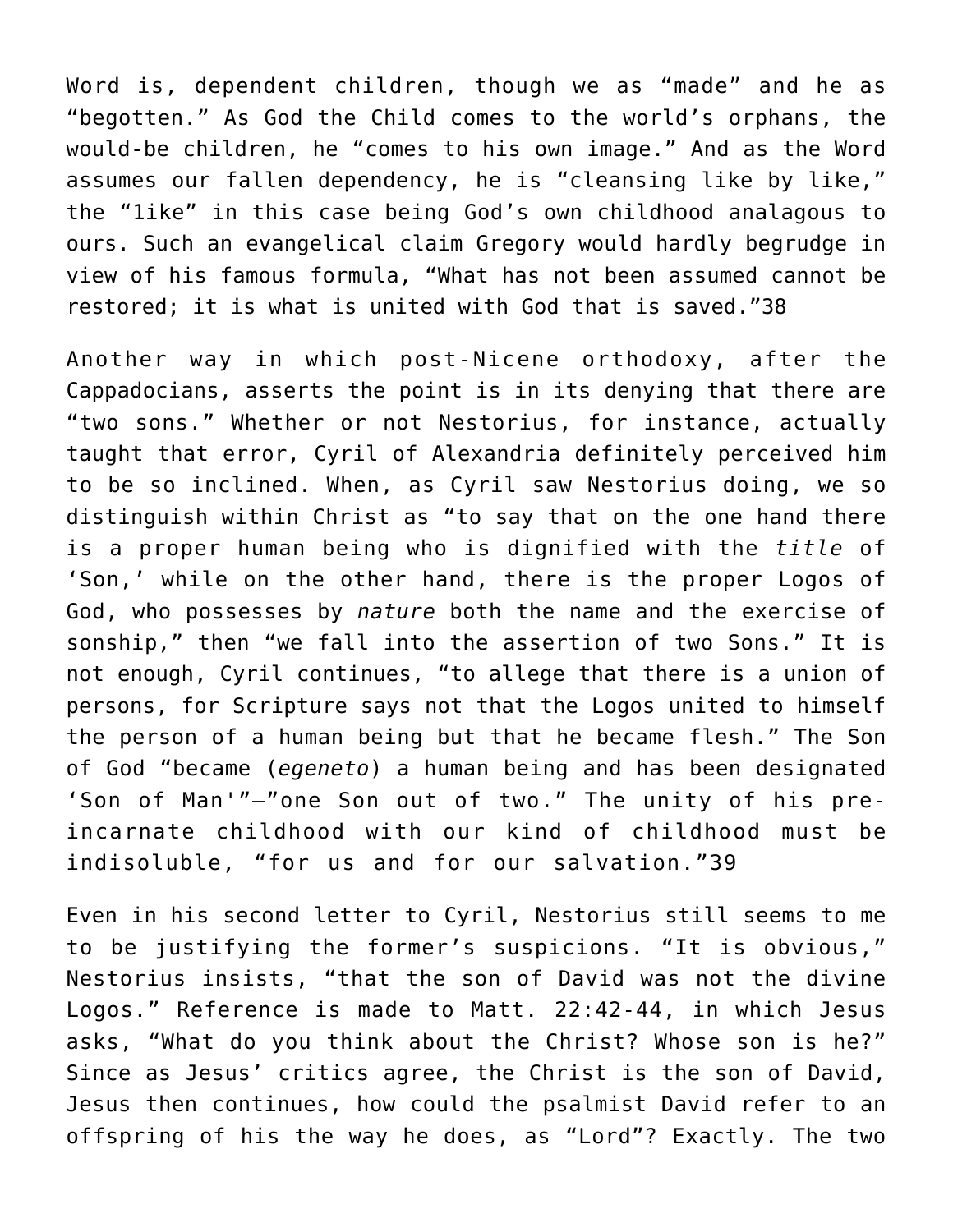Word is, dependent children, though we as "made" and he as "begotten." As God the Child comes to the world's orphans, the would-be children, he "comes to his own image." And as the Word assumes our fallen dependency, he is "cleansing like by like," the "1ike" in this case being God's own childhood analagous to ours. Such an evangelical claim Gregory would hardly begrudge in view of his famous formula, "What has not been assumed cannot be restored; it is what is united with God that is saved."38

Another way in which post-Nicene orthodoxy, after the Cappadocians, asserts the point is in its denying that there are "two sons." Whether or not Nestorius, for instance, actually taught that error, Cyril of Alexandria definitely perceived him to be so inclined. When, as Cyril saw Nestorius doing, we so distinguish within Christ as "to say that on the one hand there is a proper human being who is dignified with the *title* of 'Son,' while on the other hand, there is the proper Logos of God, who possesses by *nature* both the name and the exercise of sonship," then "we fall into the assertion of two Sons." It is not enough, Cyril continues, "to allege that there is a union of persons, for Scripture says not that the Logos united to himself the person of a human being but that he became flesh." The Son of God "became (*egeneto*) a human being and has been designated 'Son of Man'"—"one Son out of two." The unity of his preincarnate childhood with our kind of childhood must be indisoluble, "for us and for our salvation."39

Even in his second letter to Cyril, Nestorius still seems to me to be justifying the former's suspicions. "It is obvious," Nestorius insists, "that the son of David was not the divine Logos." Reference is made to Matt. 22:42-44, in which Jesus asks, "What do you think about the Christ? Whose son is he?" Since as Jesus' critics agree, the Christ is the son of David, Jesus then continues, how could the psalmist David refer to an offspring of his the way he does, as "Lord"? Exactly. The two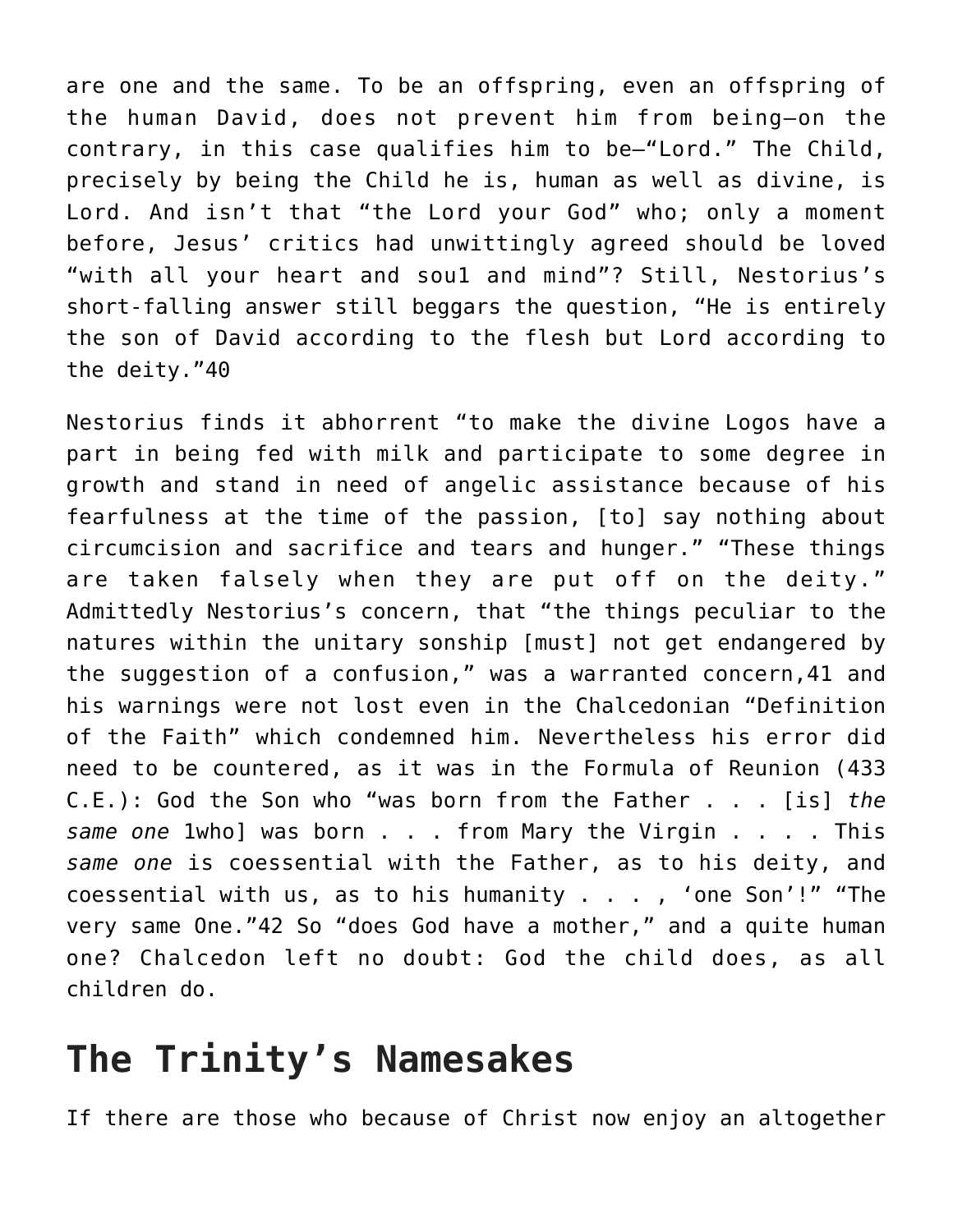are one and the same. To be an offspring, even an offspring of the human David, does not prevent him from being—on the contrary, in this case qualifies him to be—"Lord." The Child, precisely by being the Child he is, human as well as divine, is Lord. And isn't that "the Lord your God" who; only a moment before, Jesus' critics had unwittingly agreed should be loved "with all your heart and sou1 and mind"? Still, Nestorius's short-falling answer still beggars the question, "He is entirely the son of David according to the flesh but Lord according to the deity."40

Nestorius finds it abhorrent "to make the divine Logos have a part in being fed with milk and participate to some degree in growth and stand in need of angelic assistance because of his fearfulness at the time of the passion, [to] say nothing about circumcision and sacrifice and tears and hunger." "These things are taken falsely when they are put off on the deity." Admittedly Nestorius's concern, that "the things peculiar to the natures within the unitary sonship [must] not get endangered by the suggestion of a confusion," was a warranted concern,41 and his warnings were not lost even in the Chalcedonian "Definition of the Faith" which condemned him. Nevertheless his error did need to be countered, as it was in the Formula of Reunion (433 C.E.): God the Son who "was born from the Father . . . [is] *the same one* 1who] was born . . . from Mary the Virgin . . . . This *same one* is coessential with the Father, as to his deity, and coessential with us, as to his humanity . . . , 'one Son'!" "The very same One."42 So "does God have a mother," and a quite human one? Chalcedon left no doubt: God the child does, as all children do.

## **The Trinity's Namesakes**

If there are those who because of Christ now enjoy an altogether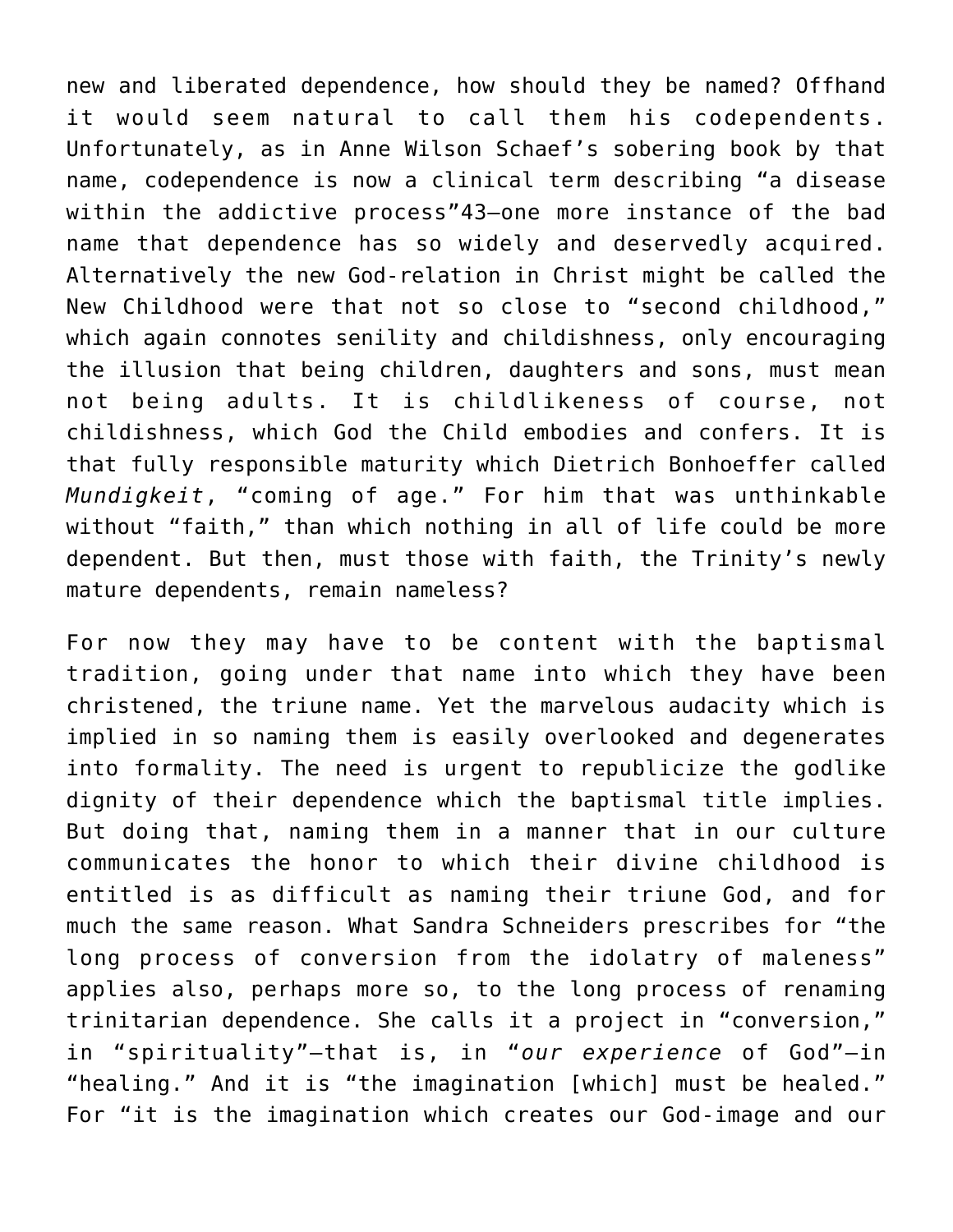new and liberated dependence, how should they be named? Offhand it would seem natural to call them his codependents. Unfortunately, as in Anne Wilson Schaef's sobering book by that name, codependence is now a clinical term describing "a disease within the addictive process"43—one more instance of the bad name that dependence has so widely and deservedly acquired. Alternatively the new God-relation in Christ might be called the New Childhood were that not so close to "second childhood," which again connotes senility and childishness, only encouraging the illusion that being children, daughters and sons, must mean not being adults. It is childlikeness of course, not childishness, which God the Child embodies and confers. It is that fully responsible maturity which Dietrich Bonhoeffer called *Mundigkeit*, "coming of age." For him that was unthinkable without "faith," than which nothing in all of life could be more dependent. But then, must those with faith, the Trinity's newly mature dependents, remain nameless?

For now they may have to be content with the baptismal tradition, going under that name into which they have been christened, the triune name. Yet the marvelous audacity which is implied in so naming them is easily overlooked and degenerates into formality. The need is urgent to republicize the godlike dignity of their dependence which the baptismal title implies. But doing that, naming them in a manner that in our culture communicates the honor to which their divine childhood is entitled is as difficult as naming their triune God, and for much the same reason. What Sandra Schneiders prescribes for "the long process of conversion from the idolatry of maleness" applies also, perhaps more so, to the long process of renaming trinitarian dependence. She calls it a project in "conversion," in "spirituality"—that is, in "*our experience* of God"—in "healing." And it is "the imagination [which] must be healed." For "it is the imagination which creates our God-image and our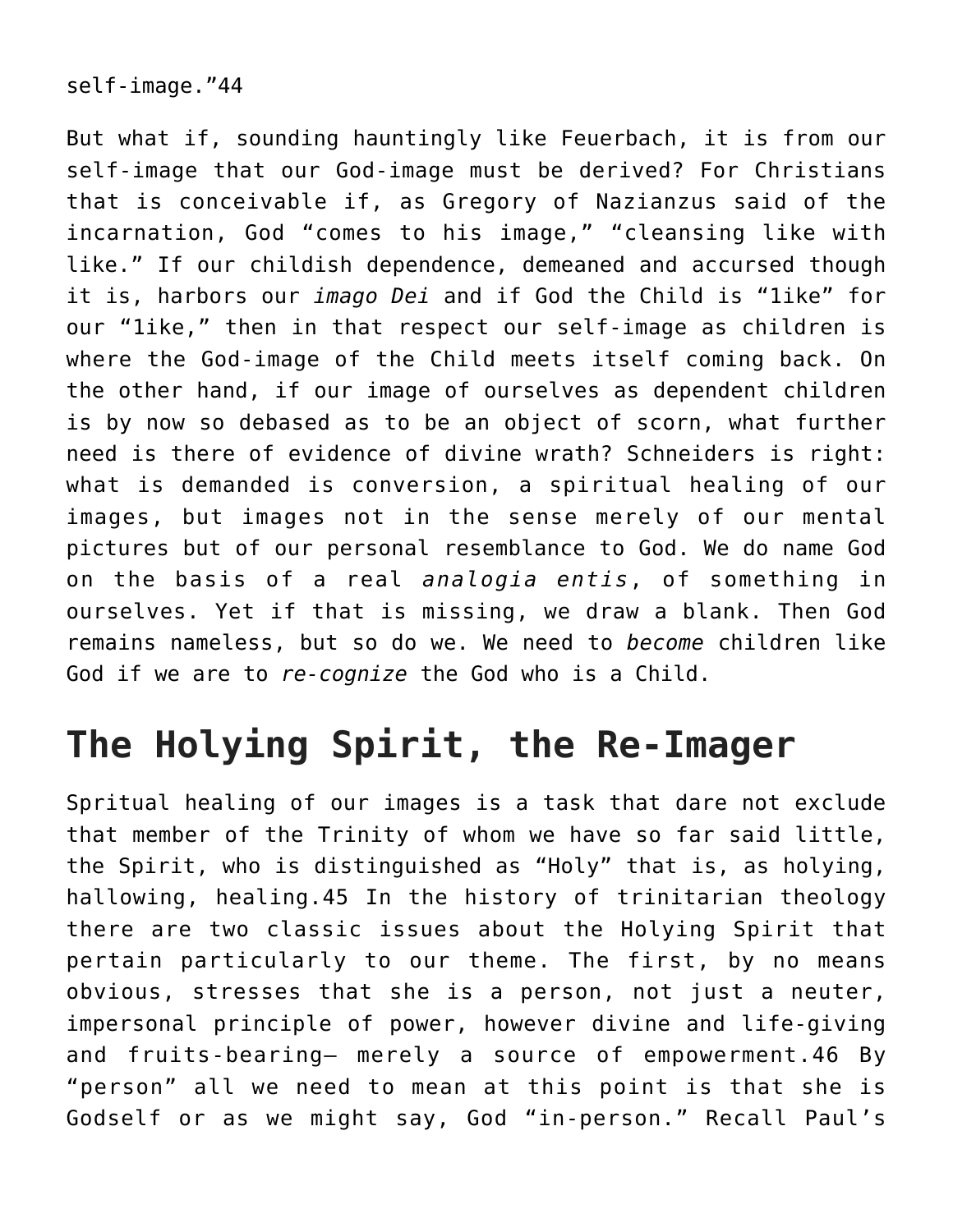self-image."44

But what if, sounding hauntingly like Feuerbach, it is from our self-image that our God-image must be derived? For Christians that is conceivable if, as Gregory of Nazianzus said of the incarnation, God "comes to his image," "cleansing like with like." If our childish dependence, demeaned and accursed though it is, harbors our *imago Dei* and if God the Child is "1ike" for our "1ike," then in that respect our self-image as children is where the God-image of the Child meets itself coming back. On the other hand, if our image of ourselves as dependent children is by now so debased as to be an object of scorn, what further need is there of evidence of divine wrath? Schneiders is right: what is demanded is conversion, a spiritual healing of our images, but images not in the sense merely of our mental pictures but of our personal resemblance to God. We do name God on the basis of a real *analogia entis*, of something in ourselves. Yet if that is missing, we draw a blank. Then God remains nameless, but so do we. We need to *become* children like God if we are to *re-cognize* the God who is a Child.

## **The Holying Spirit, the Re-Imager**

Spritual healing of our images is a task that dare not exclude that member of the Trinity of whom we have so far said little, the Spirit, who is distinguished as "Holy" that is, as holying, hallowing, healing.45 In the history of trinitarian theology there are two classic issues about the Holying Spirit that pertain particularly to our theme. The first, by no means obvious, stresses that she is a person, not just a neuter, impersonal principle of power, however divine and life-giving and fruits-bearing— merely a source of empowerment.46 By "person" all we need to mean at this point is that she is Godself or as we might say, God "in-person." Recall Paul's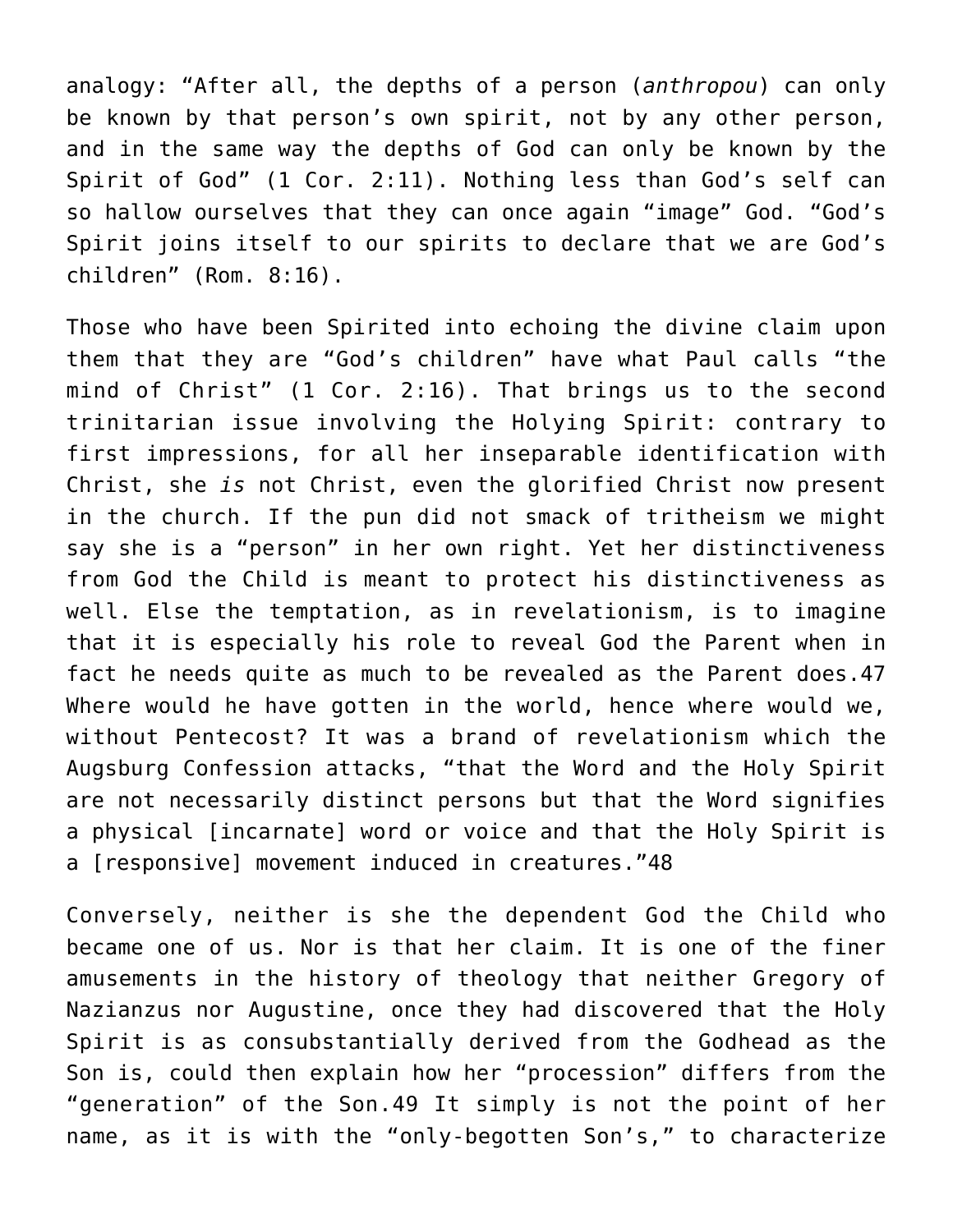analogy: "After all, the depths of a person (*anthropou*) can only be known by that person's own spirit, not by any other person, and in the same way the depths of God can only be known by the Spirit of God" (1 Cor. 2:11). Nothing less than God's self can so hallow ourselves that they can once again "image" God. "God's Spirit joins itself to our spirits to declare that we are God's children" (Rom. 8:16).

Those who have been Spirited into echoing the divine claim upon them that they are "God's children" have what Paul calls "the mind of Christ" (1 Cor. 2:16). That brings us to the second trinitarian issue involving the Holying Spirit: contrary to first impressions, for all her inseparable identification with Christ, she *is* not Christ, even the glorified Christ now present in the church. If the pun did not smack of tritheism we might say she is a "person" in her own right. Yet her distinctiveness from God the Child is meant to protect his distinctiveness as well. Else the temptation, as in revelationism, is to imagine that it is especially his role to reveal God the Parent when in fact he needs quite as much to be revealed as the Parent does.47 Where would he have gotten in the world, hence where would we, without Pentecost? It was a brand of revelationism which the Augsburg Confession attacks, "that the Word and the Holy Spirit are not necessarily distinct persons but that the Word signifies a physical [incarnate] word or voice and that the Holy Spirit is a [responsive] movement induced in creatures."48

Conversely, neither is she the dependent God the Child who became one of us. Nor is that her claim. It is one of the finer amusements in the history of theology that neither Gregory of Nazianzus nor Augustine, once they had discovered that the Holy Spirit is as consubstantially derived from the Godhead as the Son is, could then explain how her "procession" differs from the "generation" of the Son.49 It simply is not the point of her name, as it is with the "only-begotten Son's," to characterize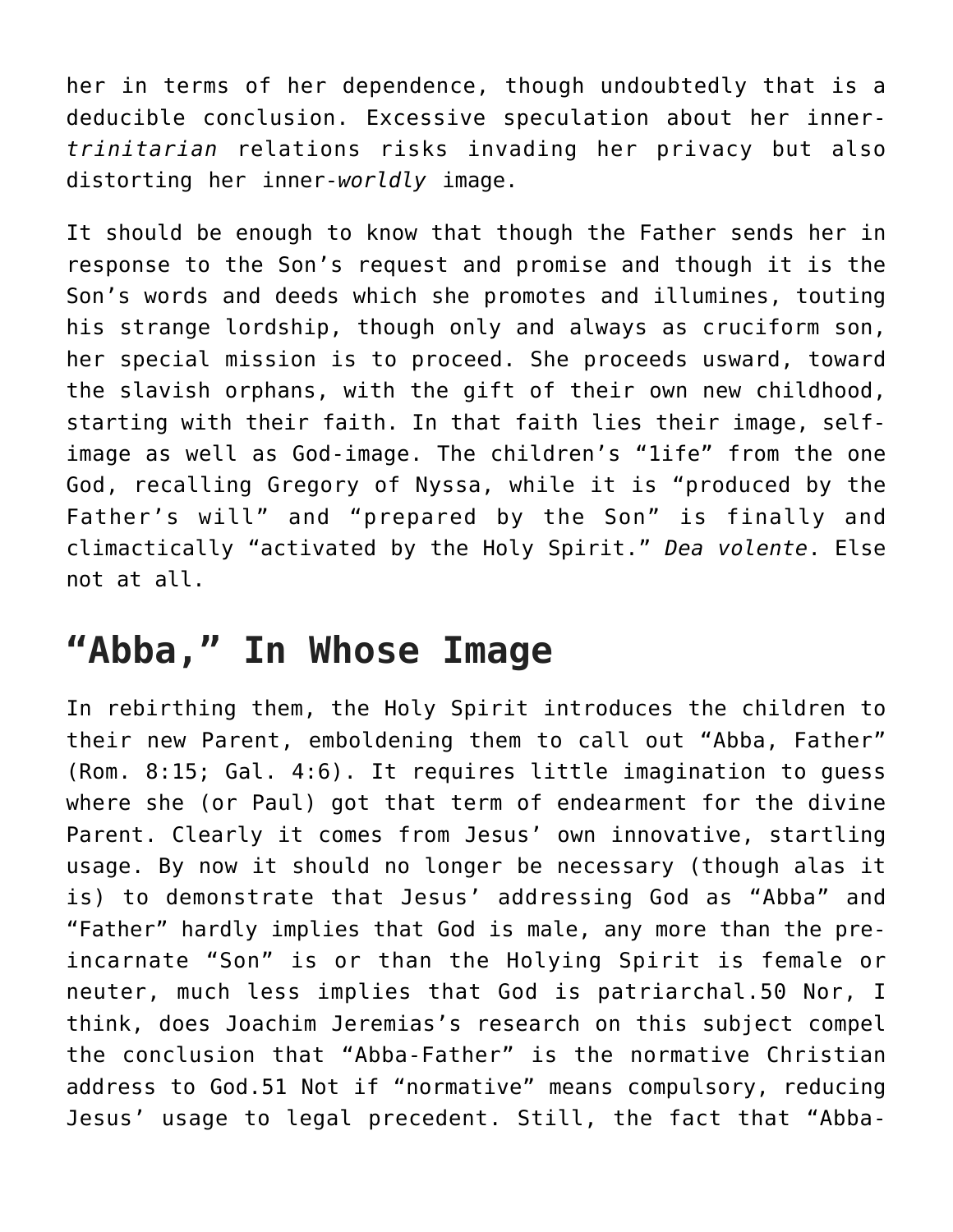her in terms of her dependence, though undoubtedly that is a deducible conclusion. Excessive speculation about her inner*trinitarian* relations risks invading her privacy but also distorting her inner-*worldly* image.

It should be enough to know that though the Father sends her in response to the Son's request and promise and though it is the Son's words and deeds which she promotes and illumines, touting his strange lordship, though only and always as cruciform son, her special mission is to proceed. She proceeds usward, toward the slavish orphans, with the gift of their own new childhood, starting with their faith. In that faith lies their image, selfimage as well as God-image. The children's "1ife" from the one God, recalling Gregory of Nyssa, while it is "produced by the Father's will" and "prepared by the Son" is finally and climactically "activated by the Holy Spirit." *Dea volente*. Else not at all.

#### **"Abba," In Whose Image**

In rebirthing them, the Holy Spirit introduces the children to their new Parent, emboldening them to call out "Abba, Father" (Rom. 8:15; Gal. 4:6). It requires little imagination to guess where she (or Paul) got that term of endearment for the divine Parent. Clearly it comes from Jesus' own innovative, startling usage. By now it should no longer be necessary (though alas it is) to demonstrate that Jesus' addressing God as "Abba" and "Father" hardly implies that God is male, any more than the preincarnate "Son" is or than the Holying Spirit is female or neuter, much less implies that God is patriarchal.50 Nor, I think, does Joachim Jeremias's research on this subject compel the conclusion that "Abba-Father" is the normative Christian address to God.51 Not if "normative" means compulsory, reducing Jesus' usage to legal precedent. Still, the fact that "Abba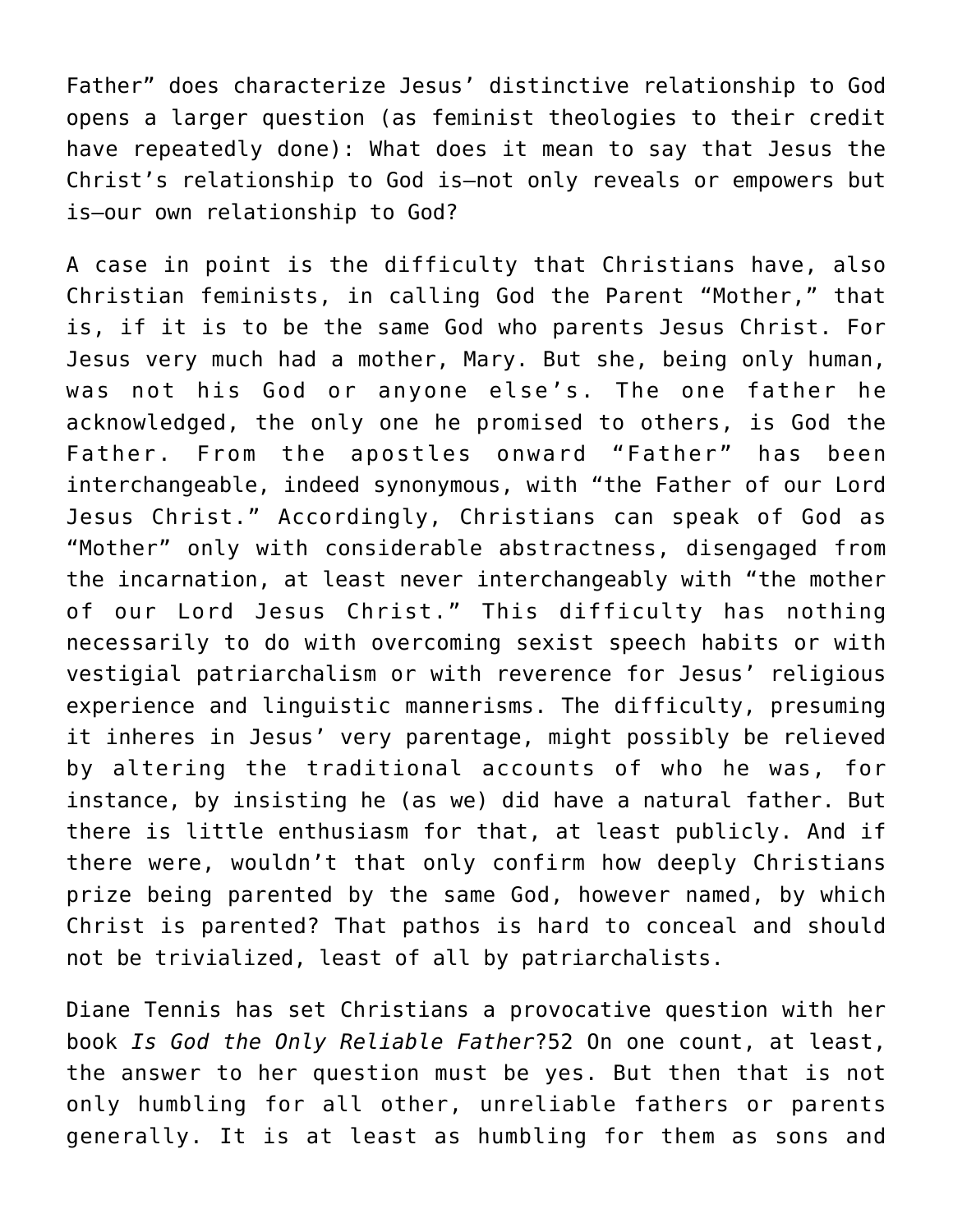Father" does characterize Jesus' distinctive relationship to God opens a larger question (as feminist theologies to their credit have repeatedly done): What does it mean to say that Jesus the Christ's relationship to God is—not only reveals or empowers but is—our own relationship to God?

A case in point is the difficulty that Christians have, also Christian feminists, in calling God the Parent "Mother," that is, if it is to be the same God who parents Jesus Christ. For Jesus very much had a mother, Mary. But she, being only human, was not his God or anyone else's. The one father he acknowledged, the only one he promised to others, is God the Father. From the apostles onward "Father" has been interchangeable, indeed synonymous, with "the Father of our Lord Jesus Christ." Accordingly, Christians can speak of God as "Mother" only with considerable abstractness, disengaged from the incarnation, at least never interchangeably with "the mother of our Lord Jesus Christ." This difficulty has nothing necessarily to do with overcoming sexist speech habits or with vestigial patriarchalism or with reverence for Jesus' religious experience and linguistic mannerisms. The difficulty, presuming it inheres in Jesus' very parentage, might possibly be relieved by altering the traditional accounts of who he was, for instance, by insisting he (as we) did have a natural father. But there is little enthusiasm for that, at least publicly. And if there were, wouldn't that only confirm how deeply Christians prize being parented by the same God, however named, by which Christ is parented? That pathos is hard to conceal and should not be trivialized, least of all by patriarchalists.

Diane Tennis has set Christians a provocative question with her book *Is God the Only Reliable Father*?52 On one count, at least, the answer to her question must be yes. But then that is not only humbling for all other, unreliable fathers or parents generally. It is at least as humbling for them as sons and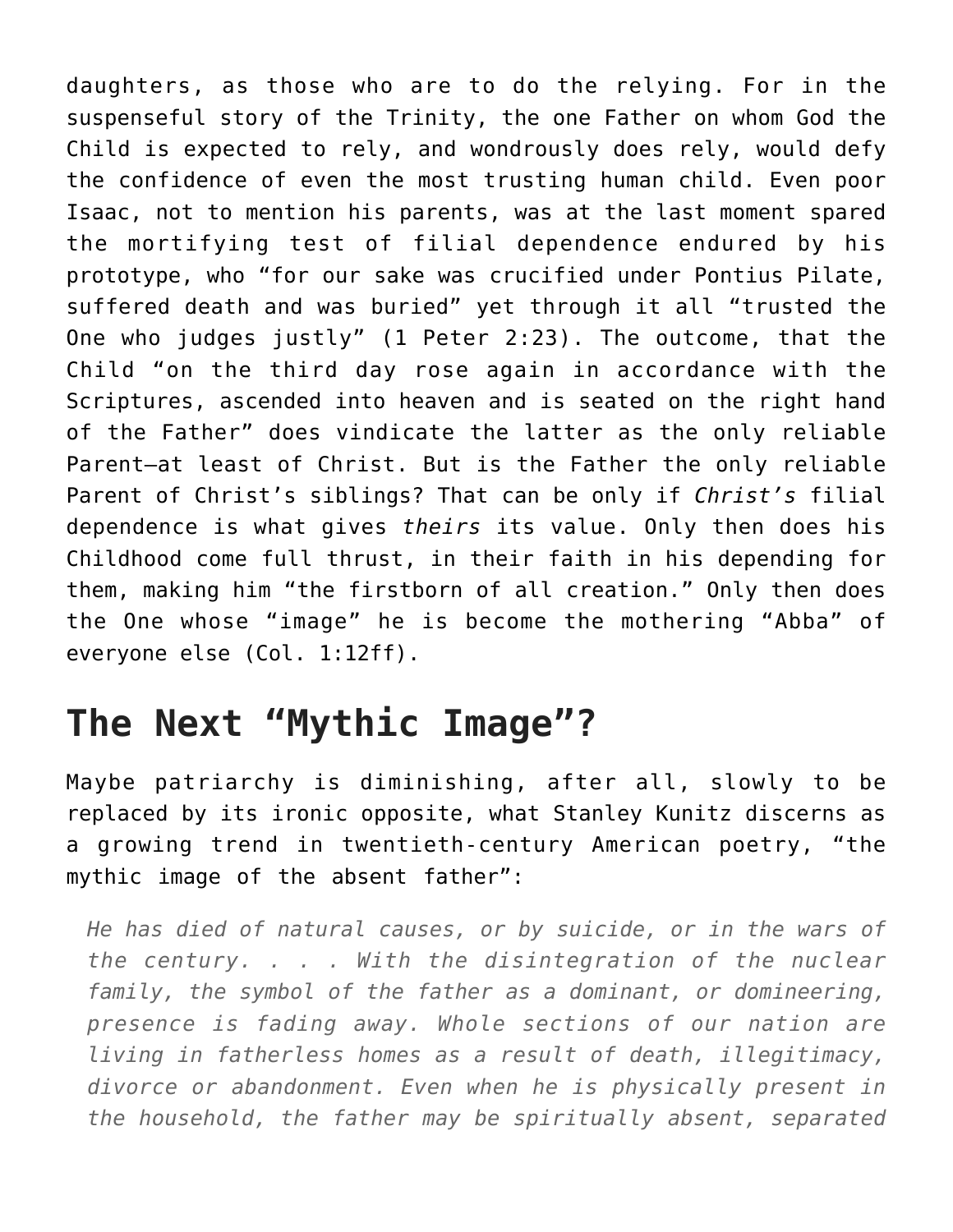daughters, as those who are to do the relying. For in the suspenseful story of the Trinity, the one Father on whom God the Child is expected to rely, and wondrously does rely, would defy the confidence of even the most trusting human child. Even poor Isaac, not to mention his parents, was at the last moment spared the mortifying test of filial dependence endured by his prototype, who "for our sake was crucified under Pontius Pilate, suffered death and was buried" yet through it all "trusted the One who judges justly" (1 Peter 2:23). The outcome, that the Child "on the third day rose again in accordance with the Scriptures, ascended into heaven and is seated on the right hand of the Father" does vindicate the latter as the only reliable Parent—at least of Christ. But is the Father the only reliable Parent of Christ's siblings? That can be only if *Christ's* filial dependence is what gives *theirs* its value. Only then does his Childhood come full thrust, in their faith in his depending for them, making him "the firstborn of all creation." Only then does the One whose "image" he is become the mothering "Abba" of everyone else (Col. 1:12ff).

## **The Next "Mythic Image"?**

Maybe patriarchy is diminishing, after all, slowly to be replaced by its ironic opposite, what Stanley Kunitz discerns as a growing trend in twentieth-century American poetry, "the mythic image of the absent father":

*He has died of natural causes, or by suicide, or in the wars of the century. . . . With the disintegration of the nuclear family, the symbol of the father as a dominant, or domineering, presence is fading away. Whole sections of our nation are living in fatherless homes as a result of death, illegitimacy, divorce or abandonment. Even when he is physically present in the household, the father may be spiritually absent, separated*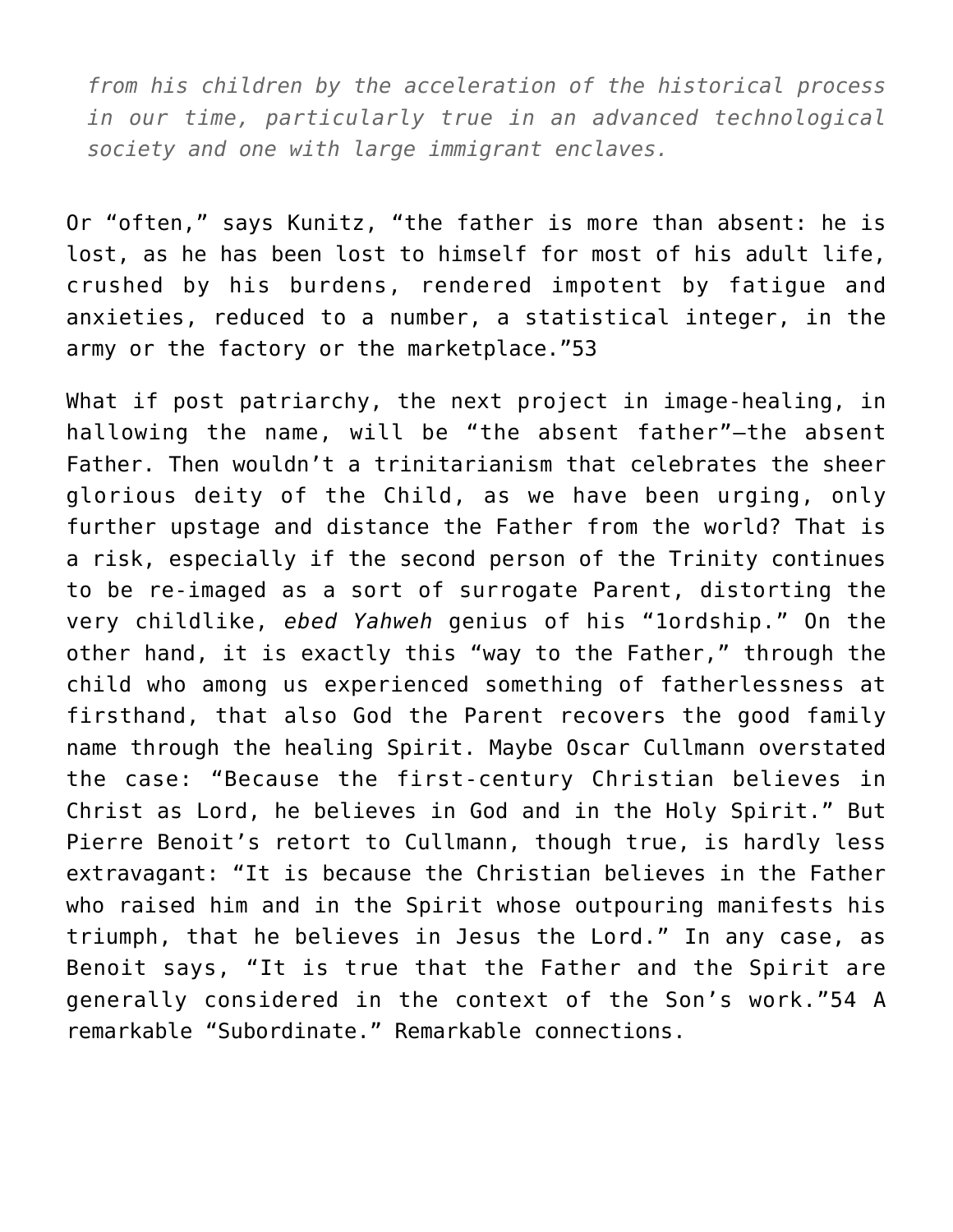*from his children by the acceleration of the historical process in our time, particularly true in an advanced technological society and one with large immigrant enclaves.*

Or "often," says Kunitz, "the father is more than absent: he is lost, as he has been lost to himself for most of his adult life, crushed by his burdens, rendered impotent by fatigue and anxieties, reduced to a number, a statistical integer, in the army or the factory or the marketplace."53

What if post patriarchy, the next project in image-healing, in hallowing the name, will be "the absent father"—the absent Father. Then wouldn't a trinitarianism that celebrates the sheer glorious deity of the Child, as we have been urging, only further upstage and distance the Father from the world? That is a risk, especially if the second person of the Trinity continues to be re-imaged as a sort of surrogate Parent, distorting the very childlike, *ebed Yahweh* genius of his "1ordship." On the other hand, it is exactly this "way to the Father," through the child who among us experienced something of fatherlessness at firsthand, that also God the Parent recovers the good family name through the healing Spirit. Maybe Oscar Cullmann overstated the case: "Because the first-century Christian believes in Christ as Lord, he believes in God and in the Holy Spirit." But Pierre Benoit's retort to Cullmann, though true, is hardly less extravagant: "It is because the Christian believes in the Father who raised him and in the Spirit whose outpouring manifests his triumph, that he believes in Jesus the Lord." In any case, as Benoit says, "It is true that the Father and the Spirit are generally considered in the context of the Son's work."54 A remarkable "Subordinate." Remarkable connections.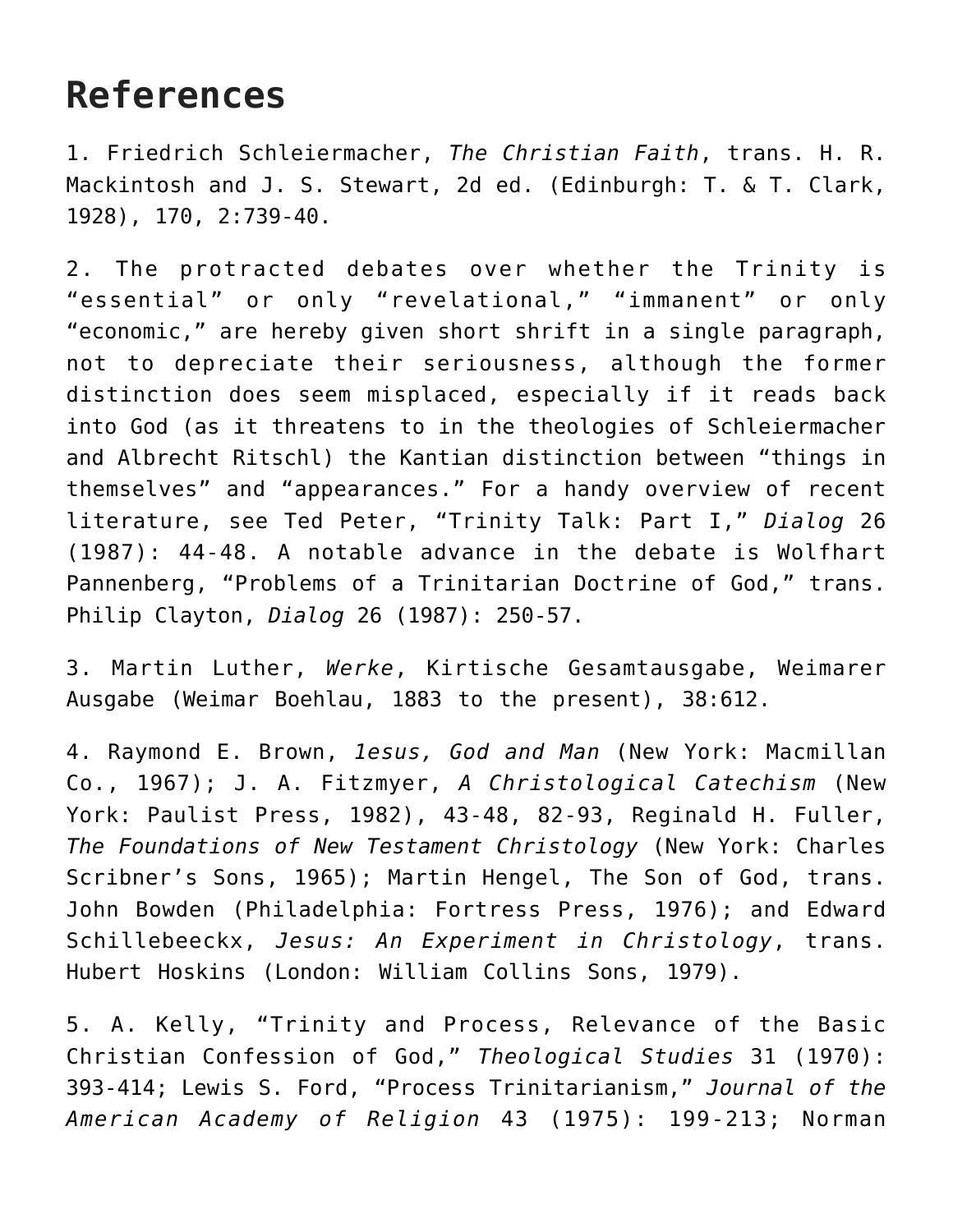## **References**

1. Friedrich Schleiermacher, *The Christian Faith*, trans. H. R. Mackintosh and J. S. Stewart, 2d ed. (Edinburgh: T. & T. Clark, 1928), 170, 2:739-40.

2. The protracted debates over whether the Trinity is "essential" or only "revelational," "immanent" or only "economic," are hereby given short shrift in a single paragraph, not to depreciate their seriousness, although the former distinction does seem misplaced, especially if it reads back into God (as it threatens to in the theologies of Schleiermacher and Albrecht Ritschl) the Kantian distinction between "things in themselves" and "appearances." For a handy overview of recent literature, see Ted Peter, "Trinity Talk: Part I," *Dialog* 26 (1987): 44-48. A notable advance in the debate is Wolfhart Pannenberg, "Problems of a Trinitarian Doctrine of God," trans. Philip Clayton, *Dialog* 26 (1987): 250-57.

3. Martin Luther, *Werke*, Kirtische Gesamtausgabe, Weimarer Ausgabe (Weimar Boehlau, 1883 to the present), 38:612.

4. Raymond E. Brown, *1esus, God and Man* (New York: Macmillan Co., 1967); J. A. Fitzmyer, *A Christological Catechism* (New York: Paulist Press, 1982), 43-48, 82-93, Reginald H. Fuller, *The Foundations of New Testament Christology* (New York: Charles Scribner's Sons, 1965); Martin Hengel, The Son of God, trans. John Bowden (Philadelphia: Fortress Press, 1976); and Edward Schillebeeckx, *Jesus: An Experiment in Christology*, trans. Hubert Hoskins (London: William Collins Sons, 1979).

5. A. Kelly, "Trinity and Process, Relevance of the Basic Christian Confession of God," *Theological Studies* 31 (1970): 393-414; Lewis S. Ford, "Process Trinitarianism," *Journal of the American Academy of Religion* 43 (1975): 199-213; Norman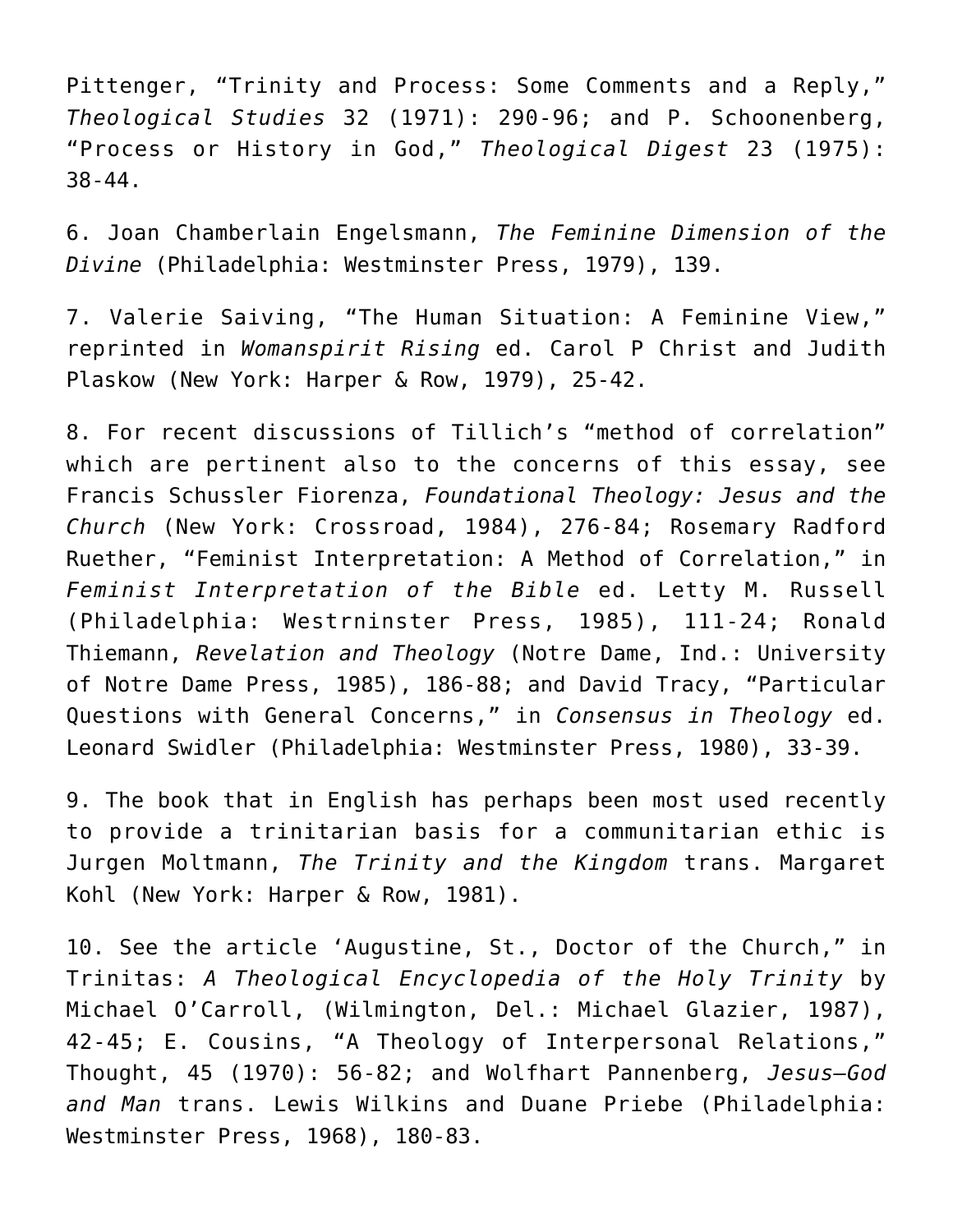Pittenger, "Trinity and Process: Some Comments and a Reply," *Theological Studies* 32 (1971): 290-96; and P. Schoonenberg, "Process or History in God," *Theological Digest* 23 (1975): 38-44.

6. Joan Chamberlain Engelsmann, *The Feminine Dimension of the Divine* (Philadelphia: Westminster Press, 1979), 139.

7. Valerie Saiving, "The Human Situation: A Feminine View," reprinted in *Womanspirit Rising* ed. Carol P Christ and Judith Plaskow (New York: Harper & Row, 1979), 25-42.

8. For recent discussions of Tillich's "method of correlation" which are pertinent also to the concerns of this essay, see Francis Schussler Fiorenza, *Foundational Theology: Jesus and the Church* (New York: Crossroad, 1984), 276-84; Rosemary Radford Ruether, "Feminist Interpretation: A Method of Correlation," in *Feminist Interpretation of the Bible* ed. Letty M. Russell (Philadelphia: Westrninster Press, 1985), 111-24; Ronald Thiemann, *Revelation and Theology* (Notre Dame, Ind.: University of Notre Dame Press, 1985), 186-88; and David Tracy, "Particular Questions with General Concerns," in *Consensus in Theology* ed. Leonard Swidler (Philadelphia: Westminster Press, 1980), 33-39.

9. The book that in English has perhaps been most used recently to provide a trinitarian basis for a communitarian ethic is Jurgen Moltmann, *The Trinity and the Kingdom* trans. Margaret Kohl (New York: Harper & Row, 1981).

10. See the article 'Augustine, St., Doctor of the Church," in Trinitas: *A Theological Encyclopedia of the Holy Trinity* by Michael O'Carroll, (Wilmington, Del.: Michael Glazier, 1987), 42-45; E. Cousins, "A Theology of Interpersonal Relations," Thought, 45 (1970): 56-82; and Wolfhart Pannenberg, *Jesus—God and Man* trans. Lewis Wilkins and Duane Priebe (Philadelphia: Westminster Press, 1968), 180-83.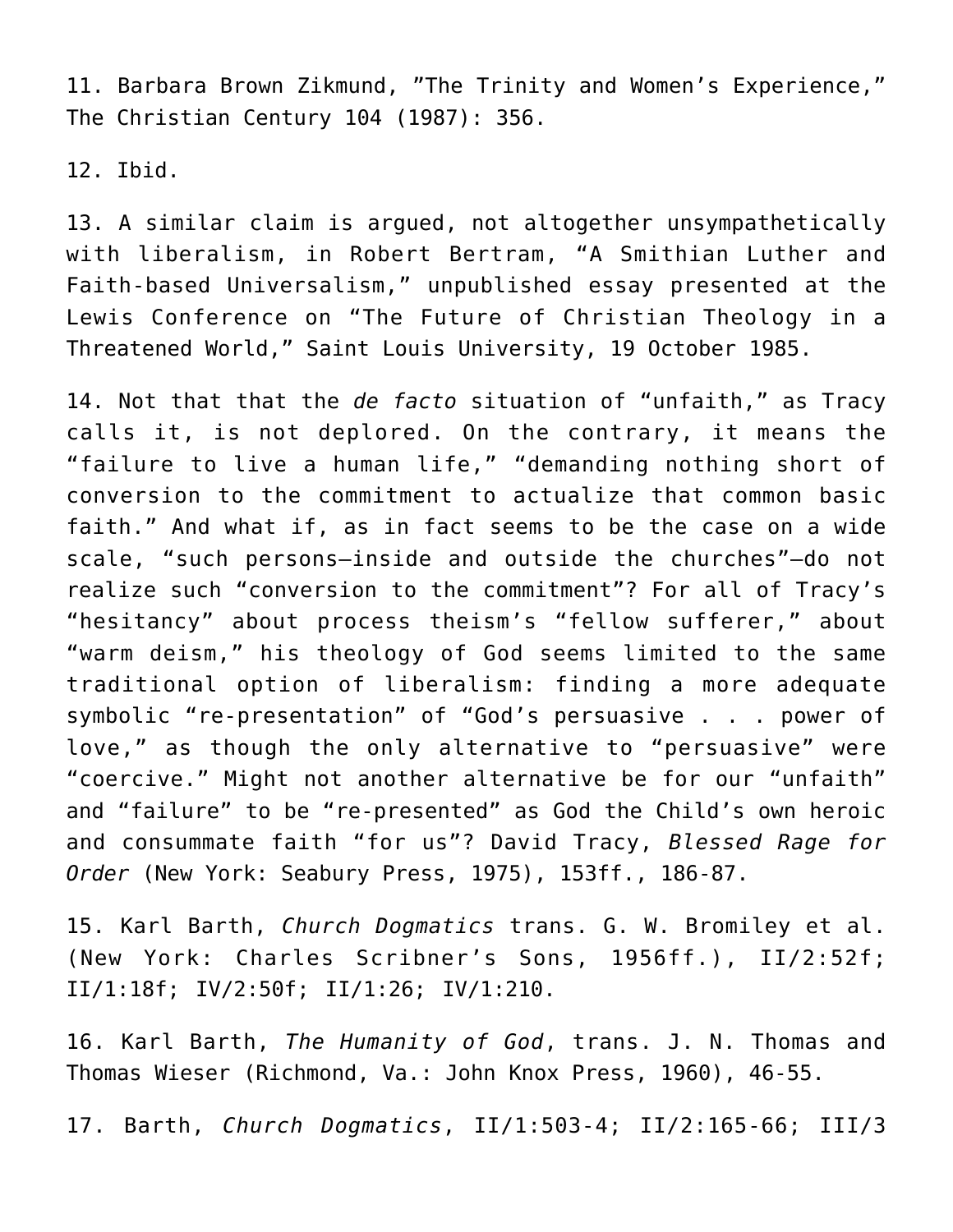11. Barbara Brown Zikmund, "The Trinity and Women's Experience," The Christian Century 104 (1987): 356.

12. Ibid.

13. A similar claim is argued, not altogether unsympathetically with liberalism, in Robert Bertram, "A Smithian Luther and Faith-based Universalism," unpublished essay presented at the Lewis Conference on "The Future of Christian Theology in a Threatened World," Saint Louis University, 19 October 1985.

14. Not that that the *de facto* situation of "unfaith," as Tracy calls it, is not deplored. On the contrary, it means the "failure to live a human life," "demanding nothing short of conversion to the commitment to actualize that common basic faith." And what if, as in fact seems to be the case on a wide scale, "such persons—inside and outside the churches"—do not realize such "conversion to the commitment"? For all of Tracy's "hesitancy" about process theism's "fellow sufferer," about "warm deism," his theology of God seems limited to the same traditional option of liberalism: finding a more adequate symbolic "re-presentation" of "God's persuasive . . . power of love," as though the only alternative to "persuasive" were "coercive." Might not another alternative be for our "unfaith" and "failure" to be "re-presented" as God the Child's own heroic and consummate faith "for us"? David Tracy, *Blessed Rage for Order* (New York: Seabury Press, 1975), 153ff., 186-87.

15. Karl Barth, *Church Dogmatics* trans. G. W. Bromiley et al. (New York: Charles Scribner's Sons, 1956ff.), II/2:52f; II/1:18f; IV/2:50f; II/1:26; IV/1:210.

16. Karl Barth, *The Humanity of God*, trans. J. N. Thomas and Thomas Wieser (Richmond, Va.: John Knox Press, 1960), 46-55.

17. Barth, *Church Dogmatics*, II/1:503-4; II/2:165-66; III/3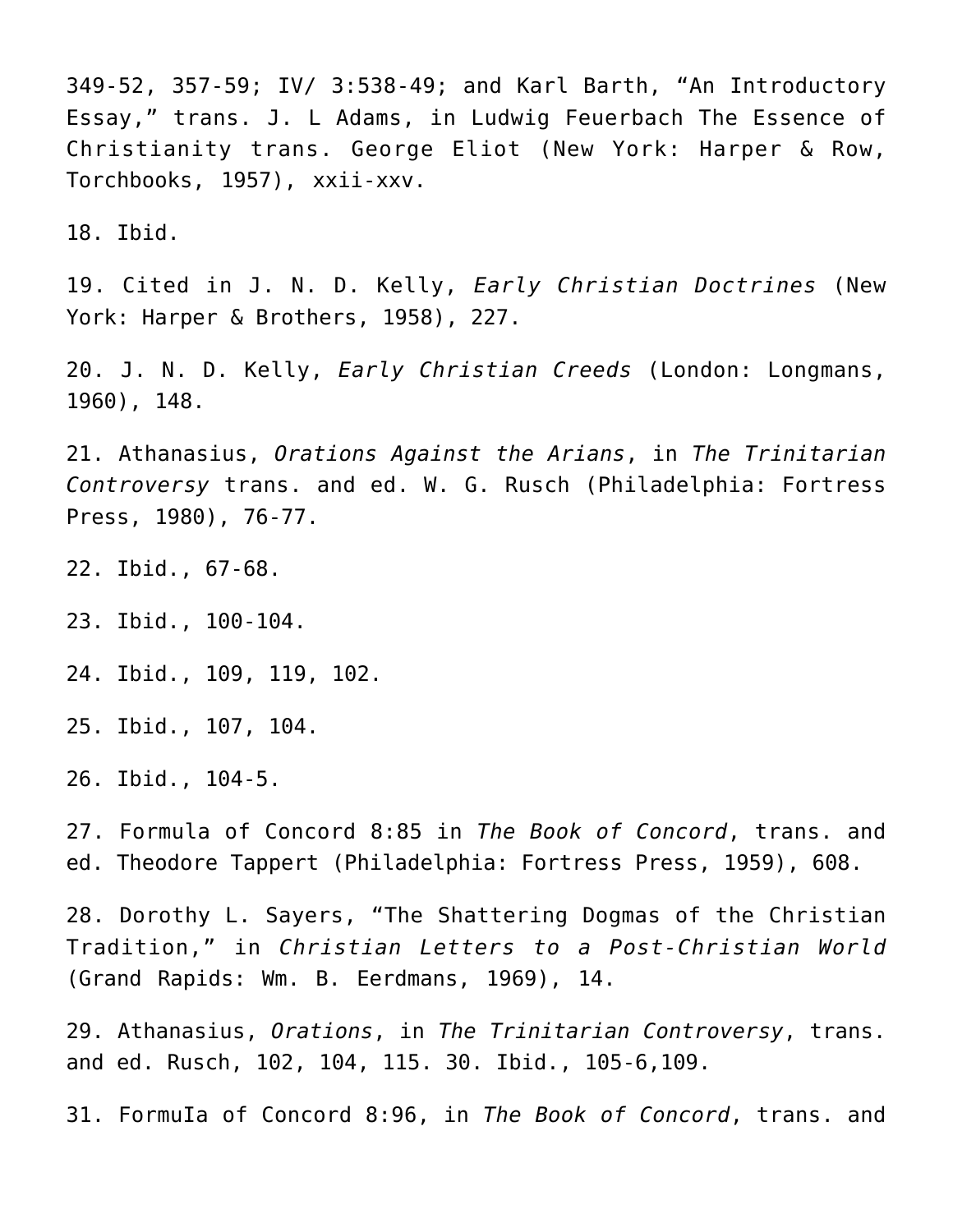349-52, 357-59; IV/ 3:538-49; and Karl Barth, "An Introductory Essay," trans. J. L Adams, in Ludwig Feuerbach The Essence of Christianity trans. George Eliot (New York: Harper & Row, Torchbooks, 1957), xxii-xxv.

18. Ibid.

19. Cited in J. N. D. Kelly, *Early Christian Doctrines* (New York: Harper & Brothers, 1958), 227.

20. J. N. D. Kelly, *Early Christian Creeds* (London: Longmans, 1960), 148.

21. Athanasius, *Orations Against the Arians*, in *The Trinitarian Controversy* trans. and ed. W. G. Rusch (Philadelphia: Fortress Press, 1980), 76-77.

22. Ibid., 67-68.

23. Ibid., 100-104.

24. Ibid., 109, 119, 102.

25. Ibid., 107, 104.

26. Ibid., 104-5.

27. Formula of Concord 8:85 in *The Book of Concord*, trans. and ed. Theodore Tappert (Philadelphia: Fortress Press, 1959), 608.

28. Dorothy L. Sayers, "The Shattering Dogmas of the Christian Tradition," in *Christian Letters to a Post-Christian World* (Grand Rapids: Wm. B. Eerdmans, 1969), 14.

29. Athanasius, *Orations*, in *The Trinitarian Controversy*, trans. and ed. Rusch, 102, 104, 115. 30. Ibid., 105-6,109.

31. FormuIa of Concord 8:96, in *The Book of Concord*, trans. and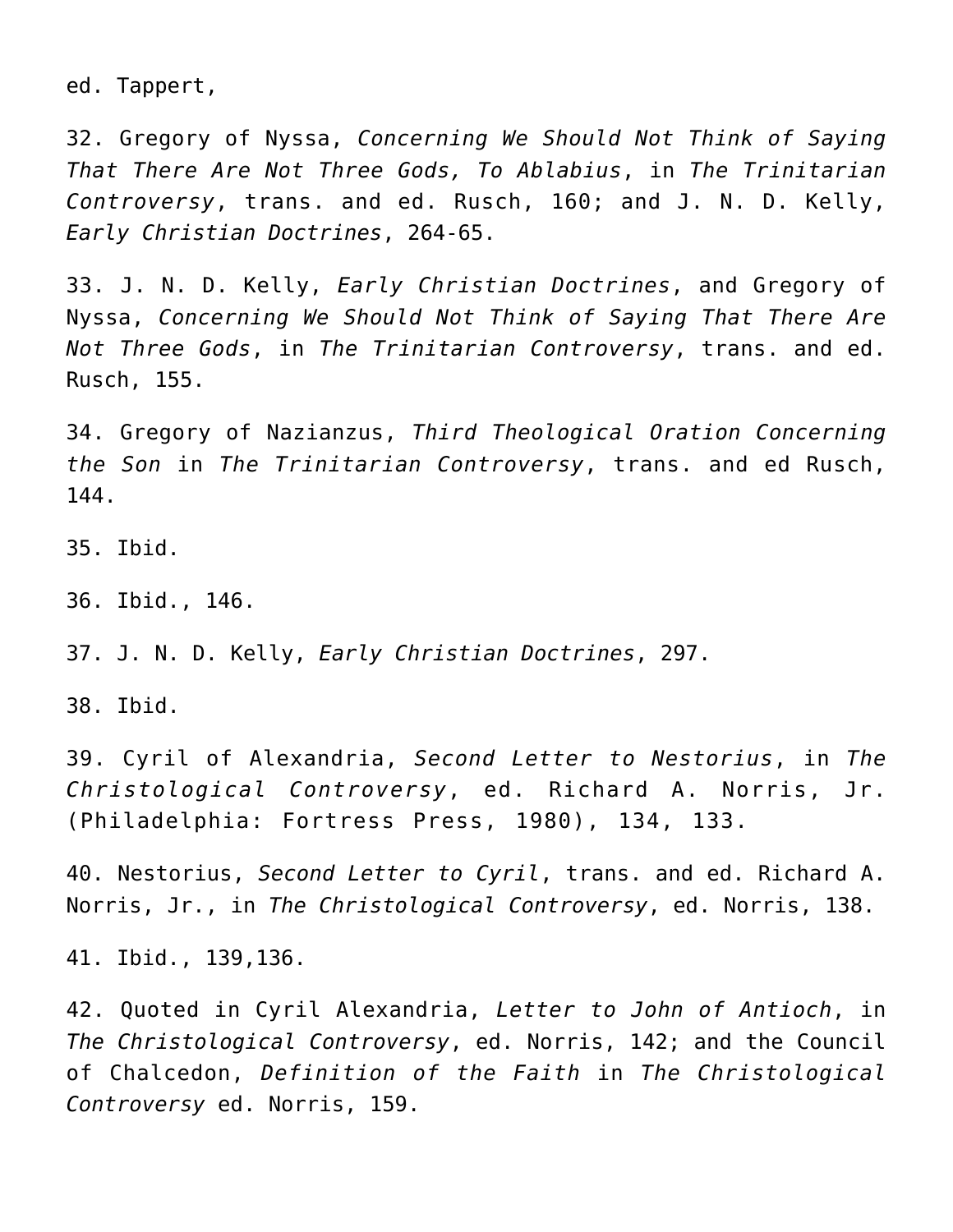ed. Tappert,

32. Gregory of Nyssa, *Concerning We Should Not Think of Saying That There Are Not Three Gods, To Ablabius*, in *The Trinitarian Controversy*, trans. and ed. Rusch, 160; and J. N. D. Kelly, *Early Christian Doctrines*, 264-65.

33. J. N. D. Kelly, *Early Christian Doctrines*, and Gregory of Nyssa, *Concerning We Should Not Think of Saying That There Are Not Three Gods*, in *The Trinitarian Controversy*, trans. and ed. Rusch, 155.

34. Gregory of Nazianzus, *Third Theological Oration Concerning the Son* in *The Trinitarian Controversy*, trans. and ed Rusch, 144.

35. Ibid.

36. Ibid., 146.

37. J. N. D. Kelly, *Early Christian Doctrines*, 297.

38. Ibid.

39. Cyril of Alexandria, *Second Letter to Nestorius*, in *The Christological Controversy*, ed. Richard A. Norris, Jr. (Philadelphia: Fortress Press, 1980), 134, 133.

40. Nestorius, *Second Letter to Cyril*, trans. and ed. Richard A. Norris, Jr., in *The Christological Controversy*, ed. Norris, 138.

41. Ibid., 139,136.

42. Quoted in Cyril Alexandria, *Letter to John of Antioch*, in *The Christological Controversy*, ed. Norris, 142; and the Council of Chalcedon, *Definition of the Faith* in *The Christological Controversy* ed. Norris, 159.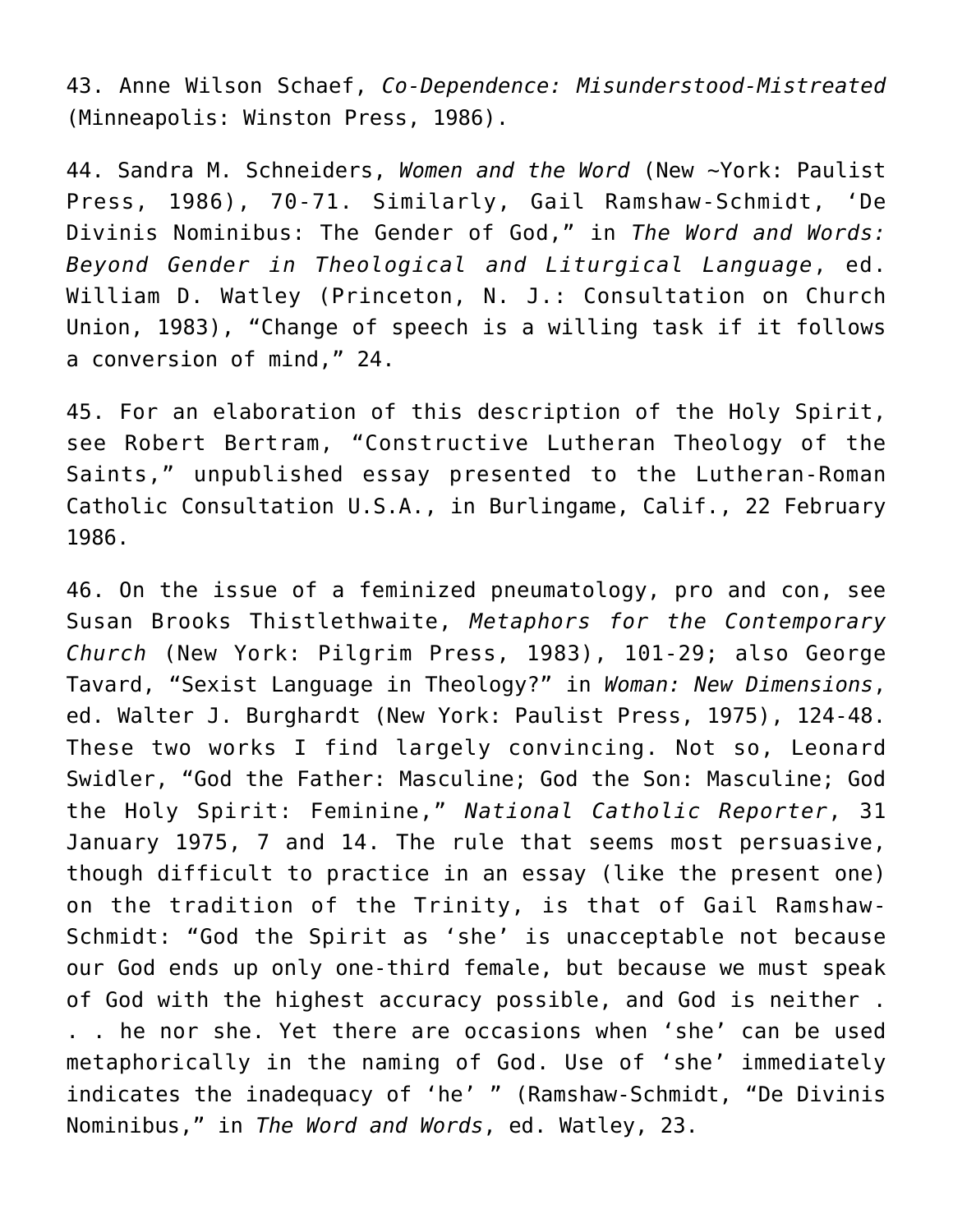43. Anne Wilson Schaef, *Co-Dependence: Misunderstood-Mistreated* (Minneapolis: Winston Press, 1986).

44. Sandra M. Schneiders, *Women and the Word* (New ~York: Paulist Press, 1986), 70-71. Similarly, Gail Ramshaw-Schmidt, 'De Divinis Nominibus: The Gender of God," in *The Word and Words: Beyond Gender in Theological and Liturgical Language*, ed. William D. Watley (Princeton, N. J.: Consultation on Church Union, 1983), "Change of speech is a willing task if it follows a conversion of mind," 24.

45. For an elaboration of this description of the Holy Spirit, see Robert Bertram, "Constructive Lutheran Theology of the Saints," unpublished essay presented to the Lutheran-Roman Catholic Consultation U.S.A., in Burlingame, Calif., 22 February 1986.

46. On the issue of a feminized pneumatology, pro and con, see Susan Brooks Thistlethwaite, *Metaphors for the Contemporary Church* (New York: Pilgrim Press, 1983), 101-29; also George Tavard, "Sexist Language in Theology?" in *Woman: New Dimensions*, ed. Walter J. Burghardt (New York: Paulist Press, 1975), 124-48. These two works I find largely convincing. Not so, Leonard Swidler, "God the Father: Masculine; God the Son: Masculine; God the Holy Spirit: Feminine," *National Catholic Reporter*, 31 January 1975, 7 and 14. The rule that seems most persuasive, though difficult to practice in an essay (like the present one) on the tradition of the Trinity, is that of Gail Ramshaw-Schmidt: "God the Spirit as 'she' is unacceptable not because our God ends up only one-third female, but because we must speak of God with the highest accuracy possible, and God is neither . . . he nor she. Yet there are occasions when 'she' can be used metaphorically in the naming of God. Use of 'she' immediately indicates the inadequacy of 'he' " (Ramshaw-Schmidt, "De Divinis Nominibus," in *The Word and Words*, ed. Watley, 23.